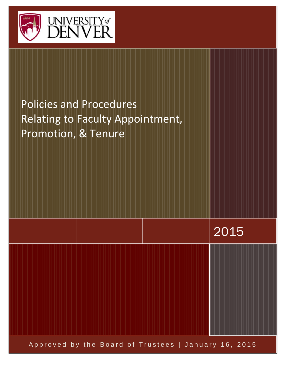

# Policies and Procedures Relating to Faculty Appointment, Promotion, & Tenure

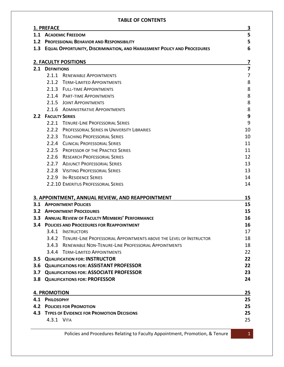#### **TABLE OF CONTENTS**

|     | 1. PREFACE                                                                     | $\overline{\mathbf{3}}$ |  |
|-----|--------------------------------------------------------------------------------|-------------------------|--|
|     | 1.1 ACADEMIC FREEDOM                                                           |                         |  |
|     | 1.2 PROFESSIONAL BEHAVIOR AND RESPONSIBILITY                                   |                         |  |
| 1.3 | <b>EQUAL OPPORTUNITY, DISCRIMINATION, AND HARASSMENT POLICY AND PROCEDURES</b> | 6                       |  |
|     |                                                                                |                         |  |
|     | <b>2. FACULTY POSITIONS</b>                                                    | $\overline{\mathbf{z}}$ |  |
| 2.1 | <b>DEFINITIONS</b>                                                             | $\overline{\mathbf{z}}$ |  |
|     | 2.1.1 RENEWABLE APPOINTMENTS                                                   | 7                       |  |
|     | 2.1.2 TERM-LIMITED APPOINTMENTS                                                | 8                       |  |
|     | 2.1.3 FULL-TIME APPOINTMENTS                                                   | 8                       |  |
|     | 2.1.4 PART-TIME APPOINTMENTS                                                   | 8                       |  |
|     | 2.1.5 JOINT APPOINTMENTS                                                       | 8                       |  |
|     | 2.1.6 ADMINISTRATIVE APPOINTMENTS                                              | 8                       |  |
| 2.2 | <b>FACULTY SERIES</b>                                                          | 9                       |  |
|     | 2.2.1 TENURE-LINE PROFESSORIAL SERIES                                          | 9                       |  |
|     | 2.2.2 PROFESSORIAL SERIES IN UNIVERSITY LIBRARIES                              | 10                      |  |
|     | 2.2.3 TEACHING PROFESSORIAL SERIES                                             | 10                      |  |
|     | 2.2.4 CLINICAL PROFESSORIAL SERIES                                             | 11                      |  |
|     | 2.2.5 PROFESSOR OF THE PRACTICE SERIES                                         | 11                      |  |
|     | 2.2.6 RESEARCH PROFESSORIAL SERIES                                             | 12                      |  |
|     | 2.2.7 ADJUNCT PROFESSORIAL SERIES                                              | 13                      |  |
|     | 2.2.8 VISITING PROFESSORIAL SERIES                                             | 13                      |  |
|     | 2.2.9 IN-RESIDENCE SERIES                                                      | 14                      |  |
|     | 2.2.10 EMERITUS PROFESSORIAL SERIES                                            | 14                      |  |
|     | 3. APPOINTMENT, ANNUAL REVIEW, AND REAPPOINTMENT                               | 15                      |  |
|     | <b>3.1 APPOINTMENT POLICIES</b>                                                | 15                      |  |
|     | <b>3.2 APPOINTMENT PROCEDURES</b>                                              | 15                      |  |
|     | <b>3.3 ANNUAL REVIEW OF FACULTY MEMBERS' PERFORMANCE</b>                       | 16                      |  |
| 3.4 | <b>POLICIES AND PROCEDURES FOR REAPPOINTMENT</b>                               | 16                      |  |
|     | 3.4.1 INSTRUCTORS                                                              | 17                      |  |
|     | 3.4.2 TENURE-LINE PROFESSORIAL APPOINTMENTS ABOVE THE LEVEL OF INSTRUCTOR      | 18                      |  |
|     | 3.4.3 RENEWABLE NON-TENURE-LINE PROFESSORIAL APPOINTMENTS                      | 18                      |  |
|     | 3.4.4 TERM-LIMITED APPOINTMENTS                                                | 22                      |  |
|     | <b>3.5 QUALIFICATION FOR: INSTRUCTOR</b>                                       | 22                      |  |
|     | 3.6 QUALIFICATIONS FOR: ASSISTANT PROFESSOR                                    | 22                      |  |
| 3.7 | <b>QUALIFICATIONS FOR: ASSOCIATE PROFESSOR</b>                                 | 23                      |  |
| 3.8 | <b>QUALIFICATIONS FOR: PROFESSOR</b>                                           | 24                      |  |
|     |                                                                                |                         |  |
|     | <b>4. PROMOTION</b>                                                            | 25                      |  |
|     | 4.1 PHILOSOPHY                                                                 | 25                      |  |
|     | <b>4.2 POLICIES FOR PROMOTION</b>                                              | 25                      |  |
|     | <b>4.3 TYPES OF EVIDENCE FOR PROMOTION DECISIONS</b>                           | 25                      |  |
|     | 4.3.1 VITA                                                                     | 25                      |  |
|     |                                                                                |                         |  |

Policies and Procedures Relating to Faculty Appointment, Promotion, & Tenure **1** 1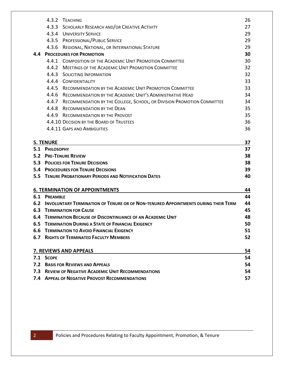|     |                                                             | 4.3.2 TEACHING                                                                         | 26 |
|-----|-------------------------------------------------------------|----------------------------------------------------------------------------------------|----|
|     |                                                             | 4.3.3 SCHOLARLY RESEARCH AND/OR CREATIVE ACTIVITY                                      | 27 |
|     |                                                             | 4.3.4 UNIVERSITY SERVICE                                                               | 29 |
|     |                                                             | 4.3.5 PROFESSIONAL/PUBLIC SERVICE                                                      | 29 |
|     |                                                             | 4.3.6 REGIONAL, NATIONAL, OR INTERNATIONAL STATURE                                     | 29 |
| 4.4 |                                                             | <b>PROCEDURES FOR PROMOTION</b>                                                        | 30 |
|     |                                                             | 4.4.1 COMPOSITION OF THE ACADEMIC UNIT PROMOTION COMMITTEE                             | 30 |
|     |                                                             | 4.4.2 MEETINGS OF THE ACADEMIC UNIT PROMOTION COMMITTEE                                | 32 |
|     |                                                             | 4.4.3 SOLICITING INFORMATION                                                           | 32 |
|     |                                                             | 4.4.4 CONFIDENTIALITY                                                                  | 33 |
|     |                                                             | 4.4.5 RECOMMENDATION BY THE ACADEMIC UNIT PROMOTION COMMITTEE                          | 33 |
|     | 4.4.6                                                       | RECOMMENDATION BY THE ACADEMIC UNIT'S ADMINISTRATIVE HEAD                              | 34 |
|     |                                                             | 4.4.7 RECOMMENDATION BY THE COLLEGE, SCHOOL, OR DIVISION PROMOTION COMMITTEE           | 34 |
|     |                                                             | 4.4.8 RECOMMENDATION BY THE DEAN                                                       | 35 |
|     |                                                             | 4.4.9 RECOMMENDATION BY THE PROVOST                                                    | 35 |
|     |                                                             | 4.4.10 DECISION BY THE BOARD OF TRUSTEES                                               | 36 |
|     |                                                             | 4.4.11 GAPS AND AMBIGUITIES                                                            | 36 |
|     | <b>5. TENURE</b>                                            |                                                                                        | 37 |
|     | 5.1 PHILOSOPHY                                              |                                                                                        | 37 |
|     |                                                             | <b>5.2 PRE-TENURE REVIEW</b>                                                           | 38 |
|     |                                                             | <b>5.3 POLICIES FOR TENURE DECISIONS</b>                                               | 38 |
|     |                                                             | <b>5.4 PROCEDURES FOR TENURE DECISIONS</b>                                             | 39 |
|     |                                                             | <b>5.5 TENURE PROBATIONARY PERIODS AND NOTIFICATION DATES</b>                          | 40 |
|     |                                                             | <b>6. TERMINATION OF APPOINTMENTS</b>                                                  | 44 |
|     | <b>6.1 PREAMBLE</b>                                         |                                                                                        | 44 |
|     |                                                             | 6.2 INVOLUNTARY TERMINATION OF TENURE OR OF NON-TENURED APPOINTMENTS DURING THEIR TERM | 44 |
|     |                                                             | <b>6.3 TERMINATION FOR CAUSE</b>                                                       | 45 |
|     |                                                             | 6.4 TERMINATION BECAUSE OF DISCONTINUANCE OF AN ACADEMIC UNIT                          | 48 |
|     | <b>6.5 TERMINATION DURING A STATE OF FINANCIAL EXIGENCY</b> |                                                                                        |    |
|     | <b>6.6 TERMINATION TO AVOID FINANCIAL EXIGENCY</b>          |                                                                                        |    |
|     |                                                             | <b>6.7 RIGHTS OF TERMINATED FACULTY MEMBERS</b>                                        | 52 |
|     |                                                             |                                                                                        |    |
|     |                                                             | 7. REVIEWS AND APPEALS                                                                 | 54 |
|     | 7.1 SCOPE                                                   |                                                                                        | 54 |
| 7.2 |                                                             | <b>BASIS FOR REVIEWS AND APPEALS</b>                                                   | 54 |
|     |                                                             | 7.3 REVIEW OF NEGATIVE ACADEMIC UNIT RECOMMENDATIONS                                   | 54 |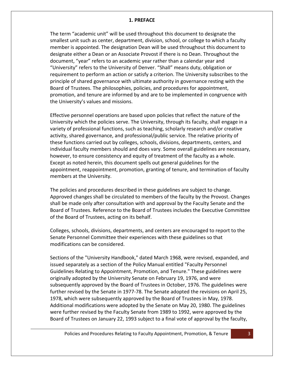#### **1. PREFACE**

<span id="page-3-0"></span>The term "academic unit" will be used throughout this document to designate the smallest unit such as center, department, division, school, or college to which a faculty member is appointed. The designation Dean will be used throughout this document to designate either a Dean or an Associate Provost if there is no Dean. Throughout the document, "year" refers to an academic year rather than a calendar year and "University" refers to the University of Denver. "Shall" means duty, obligation or requirement to perform an action or satisfy a criterion. The University subscribes to the principle of shared governance with ultimate authority in governance resting with the Board of Trustees. The philosophies, policies, and procedures for appointment, promotion, and tenure are informed by and are to be implemented in congruence with the University's values and missions.

Effective personnel operations are based upon policies that reflect the nature of the University which the policies serve. The University, through its faculty, shall engage in a variety of professional functions, such as teaching, scholarly research and/or creative activity, shared governance, and professional/public service. The relative priority of these functions carried out by colleges, schools, divisions, departments, centers, and individual faculty members should and does vary. Some overall guidelines are necessary, however, to ensure consistency and equity of treatment of the faculty as a whole. Except as noted herein, this document spells out general guidelines for the appointment, reappointment, promotion, granting of tenure, and termination of faculty members at the University.

The policies and procedures described in these guidelines are subject to change. Approved changes shall be circulated to members of the faculty by the Provost. Changes shall be made only after consultation with and approval by the Faculty Senate and the Board of Trustees. Reference to the Board of Trustees includes the Executive Committee of the Board of Trustees, acting on its behalf.

Colleges, schools, divisions, departments, and centers are encouraged to report to the Senate Personnel Committee their experiences with these guidelines so that modifications can be considered.

Sections of the "University Handbook," dated March 1968, were revised, expanded, and issued separately as a section of the Policy Manual entitled "Faculty Personnel Guidelines Relating to Appointment, Promotion, and Tenure." These guidelines were originally adopted by the University Senate on February 19, 1976, and were subsequently approved by the Board of Trustees in October, 1976. The guidelines were further revised by the Senate in 1977-78. The Senate adopted the revisions on April 25, 1978, which were subsequently approved by the Board of Trustees in May, 1978. Additional modifications were adopted by the Senate on May 20, 1980. The guidelines were further revised by the Faculty Senate from 1989 to 1992, were approved by the Board of Trustees on January 22, 1993 subject to a final vote of approval by the faculty,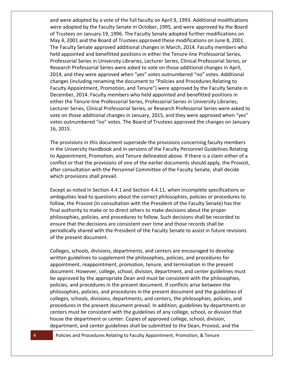and were adopted by a vote of the full faculty on April 9, 1993. Additional modifications were adopted by the Faculty Senate in October, 1995, and were approved by the Board of Trustees on January 19, 1996. The Faculty Senate adopted further modifications on May 4, 2001 and the Board of Trustees approved these modifications on June 8, 2001. The Faculty Senate approved additional changes in March, 2014. Faculty members who held appointed and benefitted positions in either the Tenure-line Professorial Series, Professorial Series in University Libraries, Lecturer Series, Clinical Professorial Series, or Research Professorial Series were asked to vote on those additional changes in April, 2014, and they were approved when "yes" votes outnumbered "no" votes. Additional changes (including renaming the document to "Policies and Procedures Relating to Faculty Appointment, Promotion, and Tenure") were approved by the Faculty Senate in December, 2014. Faculty members who held appointed and benefitted positions in either the Tenure-line Professorial Series, Professorial Series in University Libraries, Lecturer Series, Clinical Professorial Series, or Research Professorial Series were asked to vote on those additional changes in January, 2015, and they were approved when "yes" votes outnumbered "no" votes. The Board of Trustees approved the changes on January 16, 2015.

The provisions in this document supersede the provisions concerning faculty members in the University Handbook and in versions of the Faculty Personnel Guidelines Relating to Appointment, Promotion, and Tenure delineated above. If there is a claim either of a conflict or that the provisions of one of the earlier documents should apply, the Provost, after consultation with the Personnel Committee of the Faculty Senate, shall decide which provisions shall prevail.

Except as noted in Section 4.4.1 and Section 4.4.11, when incomplete specifications or ambiguities lead to questions about the correct philosophies, policies or procedures to follow, the Provost (in consultation with the President of the Faculty Senate) has the final authority to make or to direct others to make decisions about the proper philosophies, policies, and procedures to follow. Such decisions shall be recorded to ensure that the decisions are consistent over time and those records shall be periodically shared with the President of the Faculty Senate to assist in future revisions of the present document.

Colleges, schools, divisions, departments, and centers are encouraged to develop written guidelines to supplement the philosophies, policies, and procedures for appointment, reappointment, promotion, tenure, and termination in the present document. However, college, school, division, department, and center guidelines must be approved by the appropriate Dean and must be consistent with the philosophies, policies, and procedures in the present document. If conflicts arise between the philosophies, policies, and procedures in the present document and the guidelines of colleges, schools, divisions, departments, and centers, the philosophies, policies, and procedures in the present document prevail. In addition, guidelines by departments or centers must be consistent with the guidelines of any college, school, or division that house the department or center. Copies of approved college, school, division, department, and center guidelines shall be submitted to the Dean, Provost, and the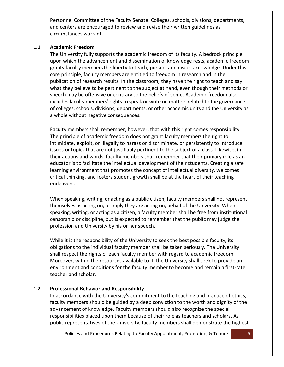Personnel Committee of the Faculty Senate. Colleges, schools, divisions, departments, and centers are encouraged to review and revise their written guidelines as circumstances warrant.

## <span id="page-5-0"></span>**1.1 Academic Freedom**

The University fully supports the academic freedom of its faculty. A bedrock principle upon which the advancement and dissemination of knowledge rests, academic freedom grants faculty members the liberty to teach, pursue, and discuss knowledge. Under this core principle, faculty members are entitled to freedom in research and in the publication of research results. In the classroom, they have the right to teach and say what they believe to be pertinent to the subject at hand, even though their methods or speech may be offensive or contrary to the beliefs of some. Academic freedom also includes faculty members' rights to speak or write on matters related to the governance of colleges, schools, divisions, departments, or other academic units and the University as a whole without negative consequences.

Faculty members shall remember, however, that with this right comes responsibility. The principle of academic freedom does not grant faculty members the right to intimidate, exploit, or illegally to harass or discriminate, or persistently to introduce issues or topics that are not justifiably pertinent to the subject of a class. Likewise, in their actions and words, faculty members shall remember that their primary role as an educator is to facilitate the intellectual development of their students. Creating a safe learning environment that promotes the concept of intellectual diversity, welcomes critical thinking, and fosters student growth shall be at the heart of their teaching endeavors.

When speaking, writing, or acting as a public citizen, faculty members shall not represent themselves as acting on, or imply they are acting on, behalf of the University. When speaking, writing, or acting as a citizen, a faculty member shall be free from institutional censorship or discipline, but is expected to remember that the public may judge the profession and University by his or her speech.

While it is the responsibility of the University to seek the best possible faculty, its obligations to the individual faculty member shall be taken seriously. The University shall respect the rights of each faculty member with regard to academic freedom. Moreover, within the resources available to it, the University shall seek to provide an environment and conditions for the faculty member to become and remain a first-rate teacher and scholar.

# <span id="page-5-1"></span>**1.2 Professional Behavior and Responsibility**

In accordance with the University's commitment to the teaching and practice of ethics, faculty members should be guided by a deep conviction to the worth and dignity of the advancement of knowledge. Faculty members should also recognize the special responsibilities placed upon them because of their role as teachers and scholars. As public representatives of the University, faculty members shall demonstrate the highest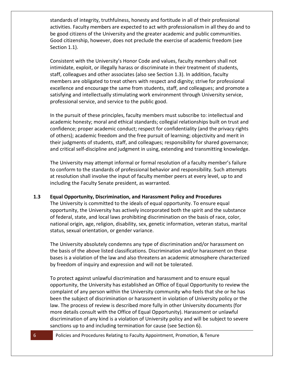standards of integrity, truthfulness, honesty and fortitude in all of their professional activities. Faculty members are expected to act with professionalism in all they do and to be good citizens of the University and the greater academic and public communities. Good citizenship, however, does not preclude the exercise of academic freedom (see Section 1.1).

Consistent with the University's Honor Code and values, faculty members shall not intimidate, exploit, or illegally harass or discriminate in their treatment of students, staff, colleagues and other associates (also see Section 1.3). In addition, faculty members are obligated to treat others with respect and dignity; strive for professional excellence and encourage the same from students, staff, and colleagues; and promote a satisfying and intellectually stimulating work environment through University service, professional service, and service to the public good.

In the pursuit of these principles, faculty members must subscribe to: intellectual and academic honesty; moral and ethical standards; collegial relationships built on trust and confidence; proper academic conduct; respect for confidentiality (and the privacy rights of others); academic freedom and the free pursuit of learning; objectivity and merit in their judgments of students, staff, and colleagues; responsibility for shared governance; and critical self-discipline and judgment in using, extending and transmitting knowledge.

The University may attempt informal or formal resolution of a faculty member's failure to conform to the standards of professional behavior and responsibility. Such attempts at resolution shall involve the input of faculty member peers at every level, up to and including the Faculty Senate president, as warranted.

## <span id="page-6-0"></span>**1.3 Equal Opportunity, Discrimination, and Harassment Policy and Procedures**

The University is committed to the ideals of equal opportunity. To ensure equal opportunity, the University has actively incorporated both the spirit and the substance of federal, state, and local laws prohibiting discrimination on the basis of race, color, national origin, age, religion, disability, sex, genetic information, veteran status, marital status, sexual orientation, or gender variance.

The University absolutely condemns any type of discrimination and/or harassment on the basis of the above listed classifications. Discrimination and/or harassment on these bases is a violation of the law and also threatens an academic atmosphere characterized by freedom of inquiry and expression and will not be tolerated.

To protect against unlawful discrimination and harassment and to ensure equal opportunity, the University has established an Office of Equal Opportunity to review the complaint of any person within the University community who feels that she or he has been the subject of discrimination or harassment in violation of University policy or the law. The process of review is described more fully in other University documents (for more details consult with the Office of Equal Opportunity). Harassment or unlawful discrimination of any kind is a violation of University policy and will be subject to severe sanctions up to and including termination for cause (see Section 6).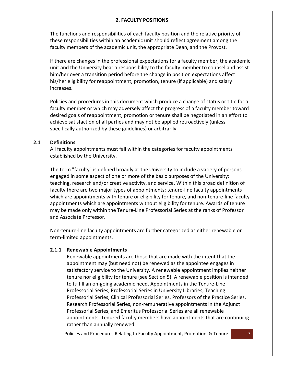# **2. FACULTY POSITIONS**

<span id="page-7-0"></span>The functions and responsibilities of each faculty position and the relative priority of these responsibilities within an academic unit should reflect agreement among the faculty members of the academic unit, the appropriate Dean, and the Provost.

If there are changes in the professional expectations for a faculty member, the academic unit and the University bear a responsibility to the faculty member to counsel and assist him/her over a transition period before the change in position expectations affect his/her eligibility for reappointment, promotion, tenure (if applicable) and salary increases.

Policies and procedures in this document which produce a change of status or title for a faculty member or which may adversely affect the progress of a faculty member toward desired goals of reappointment, promotion or tenure shall be negotiated in an effort to achieve satisfaction of all parties and may not be applied retroactively (unless specifically authorized by these guidelines) or arbitrarily.

#### <span id="page-7-1"></span>**2.1 Definitions**

All faculty appointments must fall within the categories for faculty appointments established by the University.

The term "faculty" is defined broadly at the University to include a variety of persons engaged in some aspect of one or more of the basic purposes of the University: teaching, research and/or creative activity, and service. Within this broad definition of faculty there are two major types of appointments: tenure-line faculty appointments which are appointments with tenure or eligibility for tenure, and non-tenure-line faculty appointments which are appointments without eligibility for tenure. Awards of tenure may be made only within the Tenure-Line Professorial Series at the ranks of Professor and Associate Professor.

Non-tenure-line faculty appointments are further categorized as either renewable or term-limited appointments.

## <span id="page-7-2"></span>**2.1.1 Renewable Appointments**

Renewable appointments are those that are made with the intent that the appointment may (but need not) be renewed as the appointee engages in satisfactory service to the University. A renewable appointment implies neither tenure nor eligibility for tenure (see Section 5). A renewable position is intended to fulfill an on-going academic need. Appointments in the Tenure-Line Professorial Series, Professorial Series in University Libraries, Teaching Professorial Series, Clinical Professorial Series, Professors of the Practice Series, Research Professorial Series, non-remunerative appointments in the Adjunct Professorial Series, and Emeritus Professorial Series are all renewable appointments. Tenured faculty members have appointments that are continuing rather than annually renewed.

Policies and Procedures Relating to Faculty Appointment, Promotion, & Tenure 7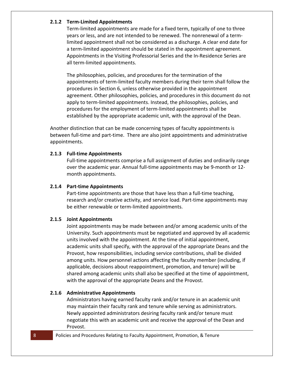## <span id="page-8-0"></span>**2.1.2 Term-Limited Appointments**

Term-limited appointments are made for a fixed term, typically of one to three years or less, and are not intended to be renewed. The nonrenewal of a termlimited appointment shall not be considered as a discharge. A clear end date for a term-limited appointment should be stated in the appointment agreement. Appointments in the Visiting Professorial Series and the In-Residence Series are all term-limited appointments.

The philosophies, policies, and procedures for the termination of the appointments of term-limited faculty members during their term shall follow the procedures in Section 6, unless otherwise provided in the appointment agreement. Other philosophies, policies, and procedures in this document do not apply to term-limited appointments. Instead, the philosophies, policies, and procedures for the employment of term-limited appointments shall be established by the appropriate academic unit, with the approval of the Dean.

Another distinction that can be made concerning types of faculty appointments is between full-time and part-time. There are also joint appointments and administrative appointments.

#### <span id="page-8-1"></span>**2.1.3 Full-time Appointments**

Full-time appointments comprise a full assignment of duties and ordinarily range over the academic year. Annual full-time appointments may be 9-month or 12 month appointments.

#### <span id="page-8-2"></span>**2.1.4 Part-time Appointments**

Part-time appointments are those that have less than a full-time teaching, research and/or creative activity, and service load. Part-time appointments may be either renewable or term-limited appointments.

#### <span id="page-8-3"></span>**2.1.5 Joint Appointments**

Joint appointments may be made between and/or among academic units of the University. Such appointments must be negotiated and approved by all academic units involved with the appointment. At the time of initial appointment, academic units shall specify, with the approval of the appropriate Deans and the Provost, how responsibilities, including service contributions, shall be divided among units. How personnel actions affecting the faculty member (including, if applicable, decisions about reappointment, promotion, and tenure) will be shared among academic units shall also be specified at the time of appointment, with the approval of the appropriate Deans and the Provost.

#### <span id="page-8-4"></span>**2.1.6 Administrative Appointments**

Administrators having earned faculty rank and/or tenure in an academic unit may maintain their faculty rank and tenure while serving as administrators. Newly appointed administrators desiring faculty rank and/or tenure must negotiate this with an academic unit and receive the approval of the Dean and Provost.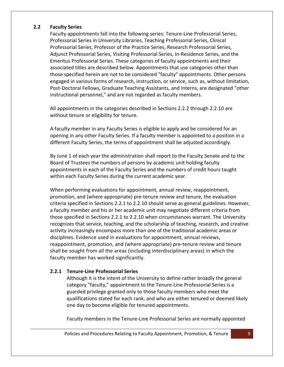## <span id="page-9-0"></span>**2.2 Faculty Series**

Faculty appointments fall into the following series: Tenure-Line Professorial Series, Professorial Series in University Libraries, Teaching Professorial Series, Clinical Professorial Series, Professor of the Practice Series, Research Professorial Series, Adjunct Professorial Series, Visiting Professorial Series, In-Residence Series, and the Emeritus Professorial Series. These categories of faculty appointments and their associated titles are described below. Appointments that use categories other than those specified herein are not to be considered "faculty" appointments. Other persons engaged in various forms of research, instruction, or service, such as, without limitation, Post-Doctoral Fellows, Graduate Teaching Assistants, and Interns, are designated "other instructional personnel," and are not regarded as faculty members.

All appointments in the categories described in Sections 2.2.2 through 2.2.10 are without tenure or eligibility for tenure.

A faculty member in any Faculty Series is eligible to apply and be considered for an opening in any other Faculty Series. If a faculty member is appointed to a position in a different Faculty Series, the terms of appointment shall be adjusted accordingly.

By June 1 of each year the administration shall report to the Faculty Senate and to the Board of Trustees the numbers of persons by academic unit holding faculty appointments in each of the Faculty Series and the numbers of credit hours taught within each Faculty Series during the current academic year.

When performing evaluations for appointment, annual review, reappointment, promotion, and (where appropriate) pre-tenure review and tenure, the evaluation criteria specified in Sections 2.2.1 to 2.2.10 should serve as general guidelines. However, a faculty member and his or her academic unit may negotiate different criteria from those specified in Sections 2.2.1 to 2.2.10 when circumstances warrant. The University recognizes that service, teaching, and the scholarship of teaching, research, and creative activity increasingly encompass more than one of the traditional academic areas or disciplines. Evidence used in evaluations for appointment, annual reviews, reappointment, promotion, and (where appropriate) pre-tenure review and tenure shall be sought from all the areas (including interdisciplinary areas) in which the faculty member has worked significantly.

# <span id="page-9-1"></span>**2.2.1 Tenure-Line Professorial Series**

Although it is the intent of the University to define rather broadly the general category "faculty," appointment to the Tenure-Line Professorial Series is a guarded privilege granted only to those faculty members who meet the qualifications stated for each rank, and who are either tenured or deemed likely one day to become eligible for tenured appointments.

Faculty members in the Tenure-Line Professorial Series are normally appointed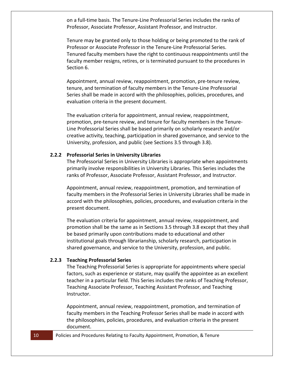on a full-time basis. The Tenure-Line Professorial Series includes the ranks of Professor, Associate Professor, Assistant Professor, and Instructor.

Tenure may be granted only to those holding or being promoted to the rank of Professor or Associate Professor in the Tenure-Line Professorial Series. Tenured faculty members have the right to continuous reappointments until the faculty member resigns, retires, or is terminated pursuant to the procedures in Section 6.

Appointment, annual review, reappointment, promotion, pre-tenure review, tenure, and termination of faculty members in the Tenure-Line Professorial Series shall be made in accord with the philosophies, policies, procedures, and evaluation criteria in the present document.

The evaluation criteria for appointment, annual review, reappointment, promotion, pre-tenure review, and tenure for faculty members in the Tenure-Line Professorial Series shall be based primarily on scholarly research and/or creative activity, teaching, participation in shared governance, and service to the University, profession, and public (see Sections 3.5 through 3.8).

#### <span id="page-10-0"></span>**2.2.2 Professorial Series in University Libraries**

The Professorial Series in University Libraries is appropriate when appointments primarily involve responsibilities in University Libraries. This Series includes the ranks of Professor, Associate Professor, Assistant Professor, and Instructor.

Appointment, annual review, reappointment, promotion, and termination of faculty members in the Professorial Series in University Libraries shall be made in accord with the philosophies, policies, procedures, and evaluation criteria in the present document.

The evaluation criteria for appointment, annual review, reappointment, and promotion shall be the same as in Sections 3.5 through 3.8 except that they shall be based primarily upon contributions made to educational and other institutional goals through librarianship, scholarly research, participation in shared governance, and service to the University, profession, and public.

#### <span id="page-10-1"></span>**2.2.3 Teaching Professorial Series**

The Teaching Professorial Series is appropriate for appointments where special factors, such as experience or stature, may qualify the appointee as an excellent teacher in a particular field. This Series includes the ranks of Teaching Professor, Teaching Associate Professor, Teaching Assistant Professor, and Teaching Instructor.

Appointment, annual review, reappointment, promotion, and termination of faculty members in the Teaching Professor Series shall be made in accord with the philosophies, policies, procedures, and evaluation criteria in the present document.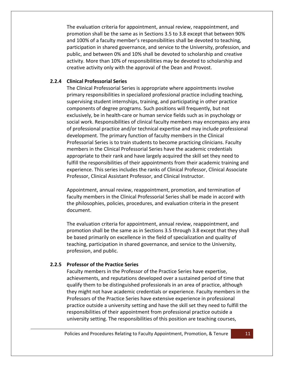The evaluation criteria for appointment, annual review, reappointment, and promotion shall be the same as in Sections 3.5 to 3.8 except that between 90% and 100% of a faculty member's responsibilities shall be devoted to teaching, participation in shared governance, and service to the University, profession, and public, and between 0% and 10% shall be devoted to scholarship and creative activity. More than 10% of responsibilities may be devoted to scholarship and creative activity only with the approval of the Dean and Provost.

## <span id="page-11-0"></span>**2.2.4 Clinical Professorial Series**

The Clinical Professorial Series is appropriate where appointments involve primary responsibilities in specialized professional practice including teaching, supervising student internships, training, and participating in other practice components of degree programs. Such positions will frequently, but not exclusively, be in health-care or human service fields such as in psychology or social work. Responsibilities of clinical faculty members may encompass any area of professional practice and/or technical expertise and may include professional development. The primary function of faculty members in the Clinical Professorial Series is to train students to become practicing clinicians. Faculty members in the Clinical Professorial Series have the academic credentials appropriate to their rank and have largely acquired the skill set they need to fulfill the responsibilities of their appointments from their academic training and experience. This series includes the ranks of Clinical Professor, Clinical Associate Professor, Clinical Assistant Professor, and Clinical Instructor.

Appointment, annual review, reappointment, promotion, and termination of faculty members in the Clinical Professorial Series shall be made in accord with the philosophies, policies, procedures, and evaluation criteria in the present document.

The evaluation criteria for appointment, annual review, reappointment, and promotion shall be the same as in Sections 3.5 through 3.8 except that they shall be based primarily on excellence in the field of specialization and quality of teaching, participation in shared governance, and service to the University, profession, and public.

# <span id="page-11-1"></span>**2.2.5 Professor of the Practice Series**

Faculty members in the Professor of the Practice Series have expertise, achievements, and reputations developed over a sustained period of time that qualify them to be distinguished professionals in an area of practice, although they might not have academic credentials or experience. Faculty members in the Professors of the Practice Series have extensive experience in professional practice outside a university setting and have the skill set they need to fulfill the responsibilities of their appointment from professional practice outside a university setting. The responsibilities of this position are teaching courses,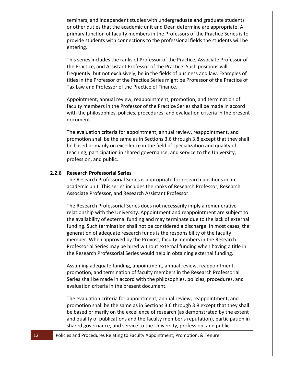seminars, and independent studies with undergraduate and graduate students or other duties that the academic unit and Dean determine are appropriate. A primary function of faculty members in the Professors of the Practice Series is to provide students with connections to the professional fields the students will be entering.

This series includes the ranks of Professor of the Practice, Associate Professor of the Practice, and Assistant Professor of the Practice. Such positions will frequently, but not exclusively, be in the fields of business and law. Examples of titles in the Professor of the Practice Series might be Professor of the Practice of Tax Law and Professor of the Practice of Finance.

Appointment, annual review, reappointment, promotion, and termination of faculty members in the Professor of the Practice Series shall be made in accord with the philosophies, policies, procedures, and evaluation criteria in the present document.

The evaluation criteria for appointment, annual review, reappointment, and promotion shall be the same as in Sections 3.6 through 3.8 except that they shall be based primarily on excellence in the field of specialization and quality of teaching, participation in shared governance, and service to the University, profession, and public.

#### <span id="page-12-0"></span>**2.2.6 Research Professorial Series**

The Research Professorial Series is appropriate for research positions in an academic unit. This series includes the ranks of Research Professor, Research Associate Professor, and Research Assistant Professor.

The Research Professorial Series does not necessarily imply a remunerative relationship with the University. Appointment and reappointment are subject to the availability of external funding and may terminate due to the lack of external funding. Such termination shall not be considered a discharge. In most cases, the generation of adequate research funds is the responsibility of the faculty member. When approved by the Provost, faculty members in the Research Professorial Series may be hired without external funding when having a title in the Research Professorial Series would help in obtaining external funding.

Assuming adequate funding, appointment, annual review, reappointment, promotion, and termination of faculty members in the Research Professorial Series shall be made in accord with the philosophies, policies, procedures, and evaluation criteria in the present document.

The evaluation criteria for appointment, annual review, reappointment, and promotion shall be the same as in Sections 3.6 through 3.8 except that they shall be based primarily on the excellence of research (as demonstrated by the extent and quality of publications and the faculty member's reputation), participation in shared governance, and service to the University, profession, and public.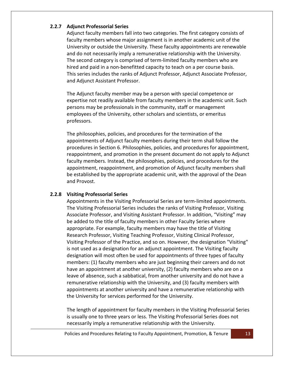## <span id="page-13-0"></span>**2.2.7 Adjunct Professorial Series**

Adjunct faculty members fall into two categories. The first category consists of faculty members whose major assignment is in another academic unit of the University or outside the University. These faculty appointments are renewable and do not necessarily imply a remunerative relationship with the University. The second category is comprised of term-limited faculty members who are hired and paid in a non-benefitted capacity to teach on a per course basis. This series includes the ranks of Adjunct Professor, Adjunct Associate Professor, and Adjunct Assistant Professor.

The Adjunct faculty member may be a person with special competence or expertise not readily available from faculty members in the academic unit. Such persons may be professionals in the community, staff or management employees of the University, other scholars and scientists, or emeritus professors.

The philosophies, policies, and procedures for the termination of the appointments of Adjunct faculty members during their term shall follow the procedures in Section 6. Philosophies, policies, and procedures for appointment, reappointment, and promotion in the present document do not apply to Adjunct faculty members. Instead, the philosophies, policies, and procedures for the appointment, reappointment, and promotion of Adjunct faculty members shall be established by the appropriate academic unit, with the approval of the Dean and Provost.

## <span id="page-13-1"></span>**2.2.8 Visiting Professorial Series**

Appointments in the Visiting Professorial Series are term-limited appointments. The Visiting Professorial Series includes the ranks of Visiting Professor, Visiting Associate Professor, and Visiting Assistant Professor. In addition, "Visiting" may be added to the title of faculty members in other Faculty Series where appropriate. For example, faculty members may have the title of Visiting Research Professor, Visiting Teaching Professor, Visiting Clinical Professor, Visiting Professor of the Practice, and so on. However, the designation "Visiting" is not used as a designation for an adjunct appointment. The Visiting faculty designation will most often be used for appointments of three types of faculty members: (1) faculty members who are just beginning their careers and do not have an appointment at another university, (2) faculty members who are on a leave of absence, such a sabbatical, from another university and do not have a remunerative relationship with the University, and (3) faculty members with appointments at another university and have a remunerative relationship with the University for services performed for the University.

The length of appointment for faculty members in the Visiting Professorial Series is usually one to three years or less. The Visiting Professorial Series does not necessarily imply a remunerative relationship with the University.

Policies and Procedures Relating to Faculty Appointment, Promotion, & Tenure 13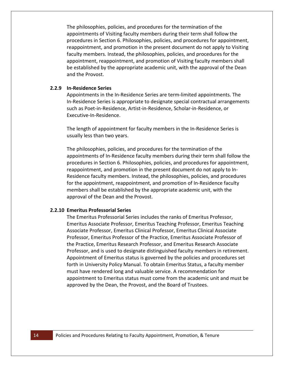The philosophies, policies, and procedures for the termination of the appointments of Visiting faculty members during their term shall follow the procedures in Section 6. Philosophies, policies, and procedures for appointment, reappointment, and promotion in the present document do not apply to Visiting faculty members. Instead, the philosophies, policies, and procedures for the appointment, reappointment, and promotion of Visiting faculty members shall be established by the appropriate academic unit, with the approval of the Dean and the Provost.

#### <span id="page-14-0"></span>**2.2.9 In-Residence Series**

Appointments in the In-Residence Series are term-limited appointments. The In-Residence Series is appropriate to designate special contractual arrangements such as Poet-in-Residence, Artist-in-Residence, Scholar-in-Residence, or Executive-In-Residence.

The length of appointment for faculty members in the In-Residence Series is usually less than two years.

The philosophies, policies, and procedures for the termination of the appointments of In-Residence faculty members during their term shall follow the procedures in Section 6. Philosophies, policies, and procedures for appointment, reappointment, and promotion in the present document do not apply to In-Residence faculty members. Instead, the philosophies, policies, and procedures for the appointment, reappointment, and promotion of In-Residence faculty members shall be established by the appropriate academic unit, with the approval of the Dean and the Provost.

#### <span id="page-14-1"></span>**2.2.10 Emeritus Professorial Series**

The Emeritus Professorial Series includes the ranks of Emeritus Professor, Emeritus Associate Professor, Emeritus Teaching Professor, Emeritus Teaching Associate Professor, Emeritus Clinical Professor, Emeritus Clinical Associate Professor, Emeritus Professor of the Practice, Emeritus Associate Professor of the Practice, Emeritus Research Professor, and Emeritus Research Associate Professor, and is used to designate distinguished faculty members in retirement. Appointment of Emeritus status is governed by the policies and procedures set forth in University Policy Manual. To obtain Emeritus Status, a faculty member must have rendered long and valuable service. A recommendation for appointment to Emeritus status must come from the academic unit and must be approved by the Dean, the Provost, and the Board of Trustees.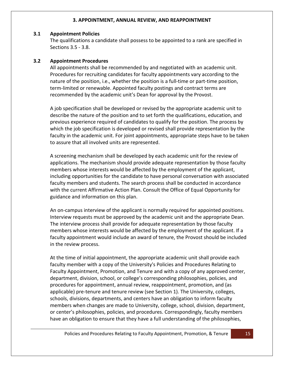#### **3. APPOINTMENT, ANNUAL REVIEW, AND REAPPOINTMENT**

#### <span id="page-15-1"></span><span id="page-15-0"></span>**3.1 Appointment Policies**

The qualifications a candidate shall possess to be appointed to a rank are specified in Sections 3.5 - 3.8.

## <span id="page-15-2"></span>**3.2 Appointment Procedures**

All appointments shall be recommended by and negotiated with an academic unit. Procedures for recruiting candidates for faculty appointments vary according to the nature of the position, i.e., whether the position is a full-time or part-time position, term-limited or renewable. Appointed faculty postings and contract terms are recommended by the academic unit's Dean for approval by the Provost.

A job specification shall be developed or revised by the appropriate academic unit to describe the nature of the position and to set forth the qualifications, education, and previous experience required of candidates to qualify for the position. The process by which the job specification is developed or revised shall provide representation by the faculty in the academic unit. For joint appointments, appropriate steps have to be taken to assure that all involved units are represented.

A screening mechanism shall be developed by each academic unit for the review of applications. The mechanism should provide adequate representation by those faculty members whose interests would be affected by the employment of the applicant, including opportunities for the candidate to have personal conversation with associated faculty members and students. The search process shall be conducted in accordance with the current Affirmative Action Plan. Consult the Office of Equal Opportunity for guidance and information on this plan.

An on-campus interview of the applicant is normally required for appointed positions. Interview requests must be approved by the academic unit and the appropriate Dean. The interview process shall provide for adequate representation by those faculty members whose interests would be affected by the employment of the applicant. If a faculty appointment would include an award of tenure, the Provost should be included in the review process.

At the time of initial appointment, the appropriate academic unit shall provide each faculty member with a copy of the University's Policies and Procedures Relating to Faculty Appointment, Promotion, and Tenure and with a copy of any approved center, department, division, school, or college's corresponding philosophies, policies, and procedures for appointment, annual review, reappointment, promotion, and (as applicable) pre-tenure and tenure review (see Section 1). The University, colleges, schools, divisions, departments, and centers have an obligation to inform faculty members when changes are made to University, college, school, division, department, or center's philosophies, policies, and procedures. Correspondingly, faculty members have an obligation to ensure that they have a full understanding of the philosophies,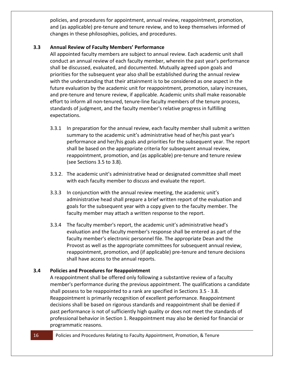policies, and procedures for appointment, annual review, reappointment, promotion, and (as applicable) pre-tenure and tenure review, and to keep themselves informed of changes in these philosophies, policies, and procedures.

# <span id="page-16-0"></span>**3.3 Annual Review of Faculty Members' Performance**

All appointed faculty members are subject to annual review. Each academic unit shall conduct an annual review of each faculty member, wherein the past year's performance shall be discussed, evaluated, and documented. Mutually agreed upon goals and priorities for the subsequent year also shall be established during the annual review with the understanding that their attainment is to be considered as one aspect in the future evaluation by the academic unit for reappointment, promotion, salary increases, and pre-tenure and tenure review, if applicable. Academic units shall make reasonable effort to inform all non-tenured, tenure-line faculty members of the tenure process, standards of judgment, and the faculty member's relative progress in fulfilling expectations.

- 3.3.1 In preparation for the annual review, each faculty member shall submit a written summary to the academic unit's administrative head of her/his past year's performance and her/his goals and priorities for the subsequent year. The report shall be based on the appropriate criteria for subsequent annual review, reappointment, promotion, and (as applicable) pre-tenure and tenure review (see Sections 3.5 to 3.8).
- 3.3.2. The academic unit's administrative head or designated committee shall meet with each faculty member to discuss and evaluate the report.
- 3.3.3 In conjunction with the annual review meeting, the academic unit's administrative head shall prepare a brief written report of the evaluation and goals for the subsequent year with a copy given to the faculty member. The faculty member may attach a written response to the report.
- 3.3.4 The faculty member's report, the academic unit's administrative head's evaluation and the faculty member's response shall be entered as part of the faculty member's electronic personnel file. The appropriate Dean and the Provost as well as the appropriate committees for subsequent annual review, reappointment, promotion, and (if applicable) pre-tenure and tenure decisions shall have access to the annual reports.

# <span id="page-16-1"></span>**3.4 Policies and Procedures for Reappointment**

A reappointment shall be offered only following a substantive review of a faculty member's performance during the previous appointment. The qualifications a candidate shall possess to be reappointed to a rank are specified in Sections 3.5 - 3.8. Reappointment is primarily recognition of excellent performance. Reappointment decisions shall be based on rigorous standards and reappointment shall be denied if past performance is not of sufficiently high quality or does not meet the standards of professional behavior in Section 1. Reappointment may also be denied for financial or programmatic reasons.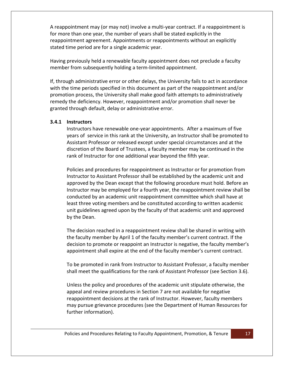A reappointment may (or may not) involve a multi-year contract. If a reappointment is for more than one year, the number of years shall be stated explicitly in the reappointment agreement. Appointments or reappointments without an explicitly stated time period are for a single academic year.

Having previously held a renewable faculty appointment does not preclude a faculty member from subsequently holding a term-limited appointment.

If, through administrative error or other delays, the University fails to act in accordance with the time periods specified in this document as part of the reappointment and/or promotion process, the University shall make good faith attempts to administratively remedy the deficiency. However, reappointment and/or promotion shall never be granted through default, delay or administrative error.

## <span id="page-17-0"></span>**3.4.1 Instructors**

Instructors have renewable one-year appointments. After a maximum of five years of service in this rank at the University, an Instructor shall be promoted to Assistant Professor or released except under special circumstances and at the discretion of the Board of Trustees, a faculty member may be continued in the rank of Instructor for one additional year beyond the fifth year.

Policies and procedures for reappointment as Instructor or for promotion from Instructor to Assistant Professor shall be established by the academic unit and approved by the Dean except that the following procedure must hold. Before an Instructor may be employed for a fourth year, the reappointment review shall be conducted by an academic unit reappointment committee which shall have at least three voting members and be constituted according to written academic unit guidelines agreed upon by the faculty of that academic unit and approved by the Dean.

The decision reached in a reappointment review shall be shared in writing with the faculty member by April 1 of the faculty member's current contract. If the decision to promote or reappoint an Instructor is negative, the faculty member's appointment shall expire at the end of the faculty member's current contract.

To be promoted in rank from Instructor to Assistant Professor, a faculty member shall meet the qualifications for the rank of Assistant Professor (see Section 3.6).

Unless the policy and procedures of the academic unit stipulate otherwise, the appeal and review procedures in Section 7 are not available for negative reappointment decisions at the rank of Instructor. However, faculty members may pursue grievance procedures (see the Department of Human Resources for further information).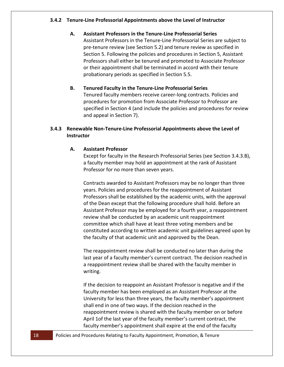## <span id="page-18-0"></span>**3.4.2 Tenure-Line Professorial Appointments above the Level of Instructor**

## **A. Assistant Professors in the Tenure-Line Professorial Series**

Assistant Professors in the Tenure-Line Professorial Series are subject to pre-tenure review (see Section 5.2) and tenure review as specified in Section 5. Following the policies and procedures in Section 5, Assistant Professors shall either be tenured and promoted to Associate Professor or their appointment shall be terminated in accord with their tenure probationary periods as specified in Section 5.5.

## **B. Tenured Faculty in the Tenure-Line Professorial Series**

Tenured faculty members receive career-long contracts. Policies and procedures for promotion from Associate Professor to Professor are specified in Section 4 (and include the policies and procedures for review and appeal in Section 7).

## <span id="page-18-1"></span>**3.4.3 Renewable Non-Tenure-Line Professorial Appointments above the Level of Instructor**

## **A. Assistant Professor**

Except for faculty in the Research Professorial Series (see Section 3.4.3.B), a faculty member may hold an appointment at the rank of Assistant Professor for no more than seven years.

Contracts awarded to Assistant Professors may be no longer than three years. Policies and procedures for the reappointment of Assistant Professors shall be established by the academic units, with the approval of the Dean except that the following procedure shall hold. Before an Assistant Professor may be employed for a fourth year, a reappointment review shall be conducted by an academic unit reappointment committee which shall have at least three voting members and be constituted according to written academic unit guidelines agreed upon by the faculty of that academic unit and approved by the Dean.

The reappointment review shall be conducted no later than during the last year of a faculty member's current contract. The decision reached in a reappointment review shall be shared with the faculty member in writing.

If the decision to reappoint an Assistant Professor is negative and if the faculty member has been employed as an Assistant Professor at the University for less than three years, the faculty member's appointment shall end in one of two ways. If the decision reached in the reappointment review is shared with the faculty member on or before April 1of the last year of the faculty member's current contract, the faculty member's appointment shall expire at the end of the faculty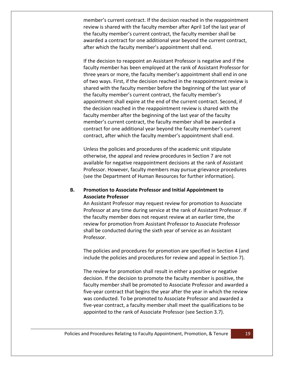member's current contract. If the decision reached in the reappointment review is shared with the faculty member after April 1of the last year of the faculty member's current contract, the faculty member shall be awarded a contract for one additional year beyond the current contract, after which the faculty member's appointment shall end.

If the decision to reappoint an Assistant Professor is negative and if the faculty member has been employed at the rank of Assistant Professor for three years or more, the faculty member's appointment shall end in one of two ways. First, if the decision reached in the reappointment review is shared with the faculty member before the beginning of the last year of the faculty member's current contract, the faculty member's appointment shall expire at the end of the current contract. Second, if the decision reached in the reappointment review is shared with the faculty member after the beginning of the last year of the faculty member's current contract, the faculty member shall be awarded a contract for one additional year beyond the faculty member's current contract, after which the faculty member's appointment shall end.

Unless the policies and procedures of the academic unit stipulate otherwise, the appeal and review procedures in Section 7 are not available for negative reappointment decisions at the rank of Assistant Professor. However, faculty members may pursue grievance procedures (see the Department of Human Resources for further information).

## **B. Promotion to Associate Professor and Initial Appointment to Associate Professor**

An Assistant Professor may request review for promotion to Associate Professor at any time during service at the rank of Assistant Professor. If the faculty member does not request review at an earlier time, the review for promotion from Assistant Professor to Associate Professor shall be conducted during the sixth year of service as an Assistant Professor.

The policies and procedures for promotion are specified in Section 4 (and include the policies and procedures for review and appeal in Section 7).

The review for promotion shall result in either a positive or negative decision. If the decision to promote the faculty member is positive, the faculty member shall be promoted to Associate Professor and awarded a five-year contract that begins the year after the year in which the review was conducted. To be promoted to Associate Professor and awarded a five-year contract, a faculty member shall meet the qualifications to be appointed to the rank of Associate Professor (see Section 3.7).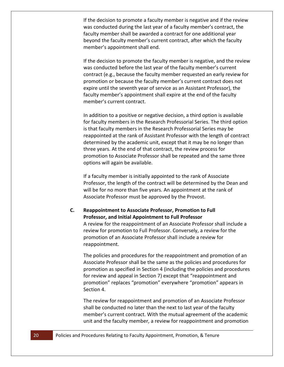If the decision to promote a faculty member is negative and if the review was conducted during the last year of a faculty member's contract, the faculty member shall be awarded a contract for one additional year beyond the faculty member's current contract, after which the faculty member's appointment shall end.

If the decision to promote the faculty member is negative, and the review was conducted before the last year of the faculty member's current contract (e.g., because the faculty member requested an early review for promotion or because the faculty member's current contract does not expire until the seventh year of service as an Assistant Professor), the faculty member's appointment shall expire at the end of the faculty member's current contract.

In addition to a positive or negative decision, a third option is available for faculty members in the Research Professorial Series. The third option is that faculty members in the Research Professorial Series may be reappointed at the rank of Assistant Professor with the length of contract determined by the academic unit, except that it may be no longer than three years. At the end of that contract, the review process for promotion to Associate Professor shall be repeated and the same three options will again be available.

If a faculty member is initially appointed to the rank of Associate Professor, the length of the contract will be determined by the Dean and will be for no more than five years. An appointment at the rank of Associate Professor must be approved by the Provost.

#### **C. Reappointment to Associate Professor, Promotion to Full Professor, and Initial Appointment to Full Professor**

A review for the reappointment of an Associate Professor shall include a review for promotion to Full Professor. Conversely, a review for the promotion of an Associate Professor shall include a review for reappointment.

The policies and procedures for the reappointment and promotion of an Associate Professor shall be the same as the policies and procedures for promotion as specified in Section 4 (including the policies and procedures for review and appeal in Section 7) except that "reappointment and promotion" replaces "promotion" everywhere "promotion" appears in Section 4.

The review for reappointment and promotion of an Associate Professor shall be conducted no later than the next to last year of the faculty member's current contract. With the mutual agreement of the academic unit and the faculty member, a review for reappointment and promotion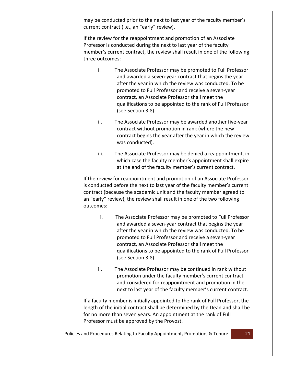may be conducted prior to the next to last year of the faculty member's current contract (i.e., an "early" review).

If the review for the reappointment and promotion of an Associate Professor is conducted during the next to last year of the faculty member's current contract, the review shall result in one of the following three outcomes:

- i. The Associate Professor may be promoted to Full Professor and awarded a seven-year contract that begins the year after the year in which the review was conducted. To be promoted to Full Professor and receive a seven-year contract, an Associate Professor shall meet the qualifications to be appointed to the rank of Full Professor (see Section 3.8).
- ii. The Associate Professor may be awarded another five-year contract without promotion in rank (where the new contract begins the year after the year in which the review was conducted).
- iii. The Associate Professor may be denied a reappointment, in which case the faculty member's appointment shall expire at the end of the faculty member's current contract.

If the review for reappointment and promotion of an Associate Professor is conducted before the next to last year of the faculty member's current contract (because the academic unit and the faculty member agreed to an "early" review), the review shall result in one of the two following outcomes:

- i. The Associate Professor may be promoted to Full Professor and awarded a seven-year contract that begins the year after the year in which the review was conducted. To be promoted to Full Professor and receive a seven-year contract, an Associate Professor shall meet the qualifications to be appointed to the rank of Full Professor (see Section 3.8).
- ii. The Associate Professor may be continued in rank without promotion under the faculty member's current contract and considered for reappointment and promotion in the next to last year of the faculty member's current contract.

If a faculty member is initially appointed to the rank of Full Professor, the length of the initial contract shall be determined by the Dean and shall be for no more than seven years. An appointment at the rank of Full Professor must be approved by the Provost.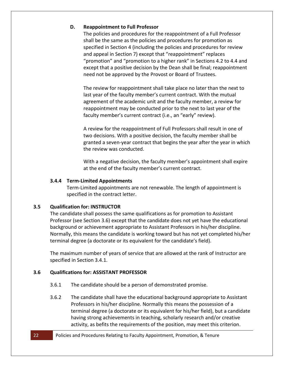## **D. Reappointment to Full Professor**

The policies and procedures for the reappointment of a Full Professor shall be the same as the policies and procedures for promotion as specified in Section 4 (including the policies and procedures for review and appeal in Section 7) except that "reappointment" replaces "promotion" and "promotion to a higher rank" in Sections 4.2 to 4.4 and except that a positive decision by the Dean shall be final; reappointment need not be approved by the Provost or Board of Trustees.

The review for reappointment shall take place no later than the next to last year of the faculty member's current contract. With the mutual agreement of the academic unit and the faculty member, a review for reappointment may be conducted prior to the next to last year of the faculty member's current contract (i.e., an "early" review).

A review for the reappointment of Full Professors shall result in one of two decisions. With a positive decision, the faculty member shall be granted a seven-year contract that begins the year after the year in which the review was conducted.

With a negative decision, the faculty member's appointment shall expire at the end of the faculty member's current contract.

## <span id="page-22-0"></span>**3.4.4 Term-Limited Appointments**

Term-Limited appointments are not renewable. The length of appointment is specified in the contract letter.

## <span id="page-22-1"></span>**3.5 Qualification for: INSTRUCTOR**

The candidate shall possess the same qualifications as for promotion to Assistant Professor (see Section 3.6) except that the candidate does not yet have the educational background or achievement appropriate to Assistant Professors in his/her discipline. Normally, this means the candidate is working toward but has not yet completed his/her terminal degree (a doctorate or its equivalent for the candidate's field).

The maximum number of years of service that are allowed at the rank of Instructor are specified in Section 3.4.1.

# <span id="page-22-2"></span>**3.6 Qualifications for: ASSISTANT PROFESSOR**

- 3.6.1 The candidate should be a person of demonstrated promise.
- 3.6.2 The candidate shall have the educational background appropriate to Assistant Professors in his/her discipline. Normally this means the possession of a terminal degree (a doctorate or its equivalent for his/her field), but a candidate having strong achievements in teaching, scholarly research and/or creative activity, as befits the requirements of the position, may meet this criterion.

#### 22 Policies and Procedures Relating to Faculty Appointment, Promotion, & Tenure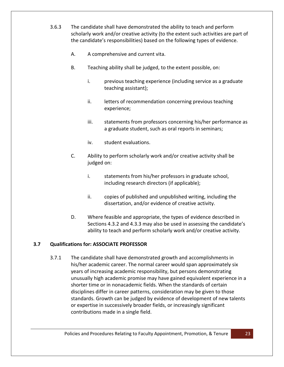- 3.6.3 The candidate shall have demonstrated the ability to teach and perform scholarly work and/or creative activity (to the extent such activities are part of the candidate's responsibilities) based on the following types of evidence.
	- A. A comprehensive and current vita.
	- B. Teaching ability shall be judged, to the extent possible, on:
		- i. previous teaching experience (including service as a graduate teaching assistant);
		- ii. letters of recommendation concerning previous teaching experience;
		- iii. statements from professors concerning his/her performance as a graduate student, such as oral reports in seminars;
		- iv. student evaluations.
	- C. Ability to perform scholarly work and/or creative activity shall be judged on:
		- i. statements from his/her professors in graduate school, including research directors (if applicable);
		- ii. copies of published and unpublished writing, including the dissertation, and/or evidence of creative activity.
	- D. Where feasible and appropriate, the types of evidence described in Sections 4.3.2 and 4.3.3 may also be used in assessing the candidate's ability to teach and perform scholarly work and/or creative activity.

# <span id="page-23-0"></span>**3.7 Qualifications for: ASSOCIATE PROFESSOR**

3.7.1 The candidate shall have demonstrated growth and accomplishments in his/her academic career. The normal career would span approximately six years of increasing academic responsibility, but persons demonstrating unusually high academic promise may have gained equivalent experience in a shorter time or in nonacademic fields. When the standards of certain disciplines differ in career patterns, consideration may be given to those standards. Growth can be judged by evidence of development of new talents or expertise in successively broader fields, or increasingly significant contributions made in a single field.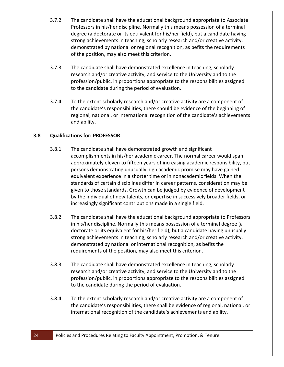- 3.7.2 The candidate shall have the educational background appropriate to Associate Professors in his/her discipline. Normally this means possession of a terminal degree (a doctorate or its equivalent for his/her field), but a candidate having strong achievements in teaching, scholarly research and/or creative activity, demonstrated by national or regional recognition, as befits the requirements of the position, may also meet this criterion.
- 3.7.3 The candidate shall have demonstrated excellence in teaching, scholarly research and/or creative activity, and service to the University and to the profession/public, in proportions appropriate to the responsibilities assigned to the candidate during the period of evaluation.
- 3.7.4 To the extent scholarly research and/or creative activity are a component of the candidate's responsibilities, there should be evidence of the beginning of regional, national, or international recognition of the candidate's achievements and ability.

# <span id="page-24-0"></span>**3.8 Qualifications for: PROFESSOR**

- 3.8.1 The candidate shall have demonstrated growth and significant accomplishments in his/her academic career. The normal career would span approximately eleven to fifteen years of increasing academic responsibility, but persons demonstrating unusually high academic promise may have gained equivalent experience in a shorter time or in nonacademic fields. When the standards of certain disciplines differ in career patterns, consideration may be given to those standards. Growth can be judged by evidence of development by the individual of new talents, or expertise in successively broader fields, or increasingly significant contributions made in a single field.
- 3.8.2 The candidate shall have the educational background appropriate to Professors in his/her discipline. Normally this means possession of a terminal degree (a doctorate or its equivalent for his/her field), but a candidate having unusually strong achievements in teaching, scholarly research and/or creative activity, demonstrated by national or international recognition, as befits the requirements of the position, may also meet this criterion.
- 3.8.3 The candidate shall have demonstrated excellence in teaching, scholarly research and/or creative activity, and service to the University and to the profession/public, in proportions appropriate to the responsibilities assigned to the candidate during the period of evaluation.
- 3.8.4 To the extent scholarly research and/or creative activity are a component of the candidate's responsibilities, there shall be evidence of regional, national, or international recognition of the candidate's achievements and ability.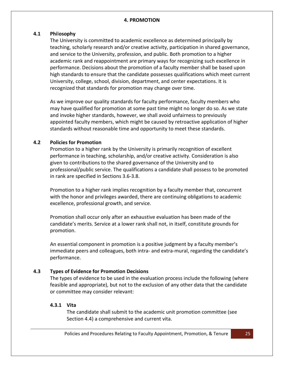#### **4. PROMOTION**

## <span id="page-25-1"></span><span id="page-25-0"></span>**4.1 Phi**l**osophy**

The University is committed to academic excellence as determined principally by teaching, scholarly research and/or creative activity, participation in shared governance, and service to the University, profession, and public. Both promotion to a higher academic rank and reappointment are primary ways for recognizing such excellence in performance. Decisions about the promotion of a faculty member shall be based upon high standards to ensure that the candidate possesses qualifications which meet current University, college, school, division, department, and center expectations. It is recognized that standards for promotion may change over time.

As we improve our quality standards for faculty performance, faculty members who may have qualified for promotion at some past time might no longer do so. As we state and invoke higher standards, however, we shall avoid unfairness to previously appointed faculty members, which might be caused by retroactive application of higher standards without reasonable time and opportunity to meet these standards.

## <span id="page-25-2"></span>**4.2 Policies for Promotion**

Promotion to a higher rank by the University is primarily recognition of excellent performance in teaching, scholarship, and/or creative activity. Consideration is also given to contributions to the shared governance of the University and to professional/public service. The qualifications a candidate shall possess to be promoted in rank are specified in Sections 3.6-3.8.

Promotion to a higher rank implies recognition by a faculty member that, concurrent with the honor and privileges awarded, there are continuing obligations to academic excellence, professional growth, and service.

Promotion shall occur only after an exhaustive evaluation has been made of the candidate's merits. Service at a lower rank shall not, in itself, constitute grounds for promotion.

An essential component in promotion is a positive judgment by a faculty member's immediate peers and colleagues, both intra- and extra-mural, regarding the candidate's performance.

# <span id="page-25-3"></span>**4.3 Types of Evidence for Promotion Decisions**

The types of evidence to be used in the evaluation process include the following (where feasible and appropriate), but not to the exclusion of any other data that the candidate or committee may consider relevant:

## <span id="page-25-4"></span>**4.3.1 Vita**

The candidate shall submit to the academic unit promotion committee (see Section 4.4) a comprehensive and current vita.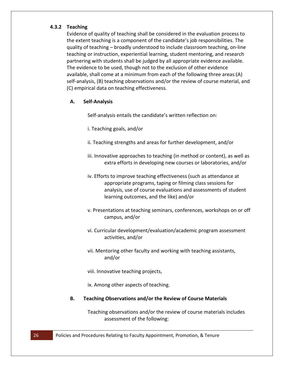## <span id="page-26-0"></span>**4.3.2 Teaching**

Evidence of quality of teaching shall be considered in the evaluation process to the extent teaching is a component of the candidate's job responsibilities. The quality of teaching – broadly understood to include classroom teaching, on-line teaching or instruction, experiential learning, student mentoring, and research partnering with students shall be judged by all appropriate evidence available. The evidence to be used, though not to the exclusion of other evidence available, shall come at a minimum from each of the following three areas:(A) self-analysis, (B) teaching observations and/or the review of course material, and (C) empirical data on teaching effectiveness.

## **A. Self-Analysis**

Self-analysis entails the candidate's written reflection on:

- i. Teaching goals, and/or
- ii. Teaching strengths and areas for further development, and/or
- iii. Innovative approaches to teaching (in method or content), as well as extra efforts in developing new courses or laboratories, and/or
- iv. Efforts to improve teaching effectiveness (such as attendance at appropriate programs, taping or filming class sessions for analysis, use of course evaluations and assessments of student learning outcomes, and the like) and/or
- v. Presentations at teaching seminars, conferences, workshops on or off campus, and/or
- vi. Curricular development/evaluation/academic program assessment activities, and/or
- vii. Mentoring other faculty and working with teaching assistants, and/or

viii. Innovative teaching projects,

ix. Among other aspects of teaching.

**B. Teaching Observations and/or the Review of Course Materials**

Teaching observations and/or the review of course materials includes assessment of the following: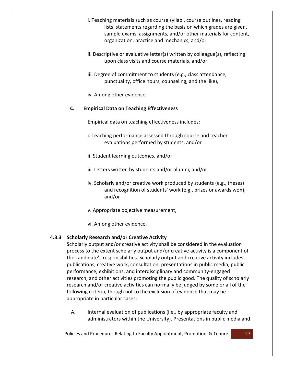- i. Teaching materials such as course syllabi, course outlines, reading lists, statements regarding the basis on which grades are given, sample exams, assignments, and/or other materials for content, organization, practice and mechanics, and/or
- ii. Descriptive or evaluative letter(s) written by colleague(s), reflecting upon class visits and course materials, and/or
- iii. Degree of commitment to students (e.g., class attendance, punctuality, office hours, counseling, and the like),
- iv. Among other evidence.

# **C. Empirical Data on Teaching Effectiveness**

Empirical data on teaching effectiveness includes:

- i. Teaching performance assessed through course and teacher evaluations performed by students, and/or
- ii. Student learning outcomes, and/or
- iii. Letters written by students and/or alumni, and/or
- iv. Scholarly and/or creative work produced by students (e.g., theses) and recognition of students' work (e.g., prizes or awards won), and/or
- v. Appropriate objective measurement,
- vi. Among other evidence.

# <span id="page-27-0"></span>**4.3.3 Scholarly Research and/or Creative Activity**

Scholarly output and/or creative activity shall be considered in the evaluation process to the extent scholarly output and/or creative activity is a component of the candidate's responsibilities. Scholarly output and creative activity includes publications, creative work, consultation, presentations in public media, public performance, exhibitions, and interdisciplinary and community-engaged research, and other activities promoting the public good. The quality of scholarly research and/or creative activities can normally be judged by some or all of the following criteria, though not to the exclusion of evidence that may be appropriate in particular cases:

A. Internal evaluation of publications (i.e., by appropriate faculty and administrators within the University). Presentations in public media and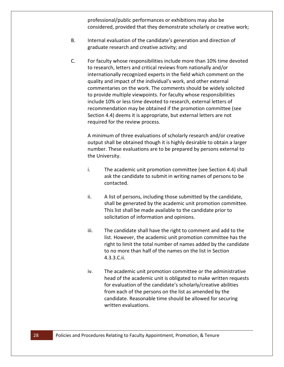professional/public performances or exhibitions may also be considered, provided that they demonstrate scholarly or creative work;

- B. Internal evaluation of the candidate's generation and direction of graduate research and creative activity; and
- C. For faculty whose responsibilities include more than 10% time devoted to research, letters and critical reviews from nationally and/or internationally recognized experts in the field which comment on the quality and impact of the individual's work, and other external commentaries on the work. The comments should be widely solicited to provide multiple viewpoints. For faculty whose responsibilities include 10% or less time devoted to research, external letters of recommendation may be obtained if the promotion committee (see Section 4.4) deems it is appropriate, but external letters are not required for the review process.

A minimum of three evaluations of scholarly research and/or creative output shall be obtained though it is highly desirable to obtain a larger number. These evaluations are to be prepared by persons external to the University.

- i. The academic unit promotion committee (see Section 4.4) shall ask the candidate to submit in writing names of persons to be contacted.
- ii. A list of persons, including those submitted by the candidate, shall be generated by the academic unit promotion committee. This list shall be made available to the candidate prior to solicitation of information and opinions.
- iii. The candidate shall have the right to comment and add to the list. However, the academic unit promotion committee has the right to limit the total number of names added by the candidate to no more than half of the names on the list in Section 4.3.3.C.ii.
- iv. The academic unit promotion committee or the administrative head of the academic unit is obligated to make written requests for evaluation of the candidate's scholarly/creative abilities from each of the persons on the list as amended by the candidate. Reasonable time should be allowed for securing written evaluations.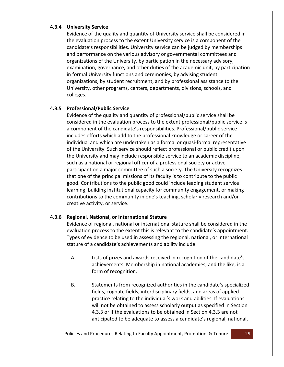## <span id="page-29-0"></span>**4.3.4 University Service**

Evidence of the quality and quantity of University service shall be considered in the evaluation process to the extent University service is a component of the candidate's responsibilities. University service can be judged by memberships and performance on the various advisory or governmental committees and organizations of the University, by participation in the necessary advisory, examination, governance, and other duties of the academic unit, by participation in formal University functions and ceremonies, by advising student organizations, by student recruitment, and by professional assistance to the University, other programs, centers, departments, divisions, schools, and colleges.

# <span id="page-29-1"></span>**4.3.5 Professional/Public Service**

Evidence of the quality and quantity of professional/public service shall be considered in the evaluation process to the extent professional/public service is a component of the candidate's responsibilities. Professional/public service includes efforts which add to the professional knowledge or career of the individual and which are undertaken as a formal or quasi-formal representative of the University. Such service should reflect professional or public credit upon the University and may include responsible service to an academic discipline, such as a national or regional officer of a professional society or active participant on a major committee of such a society. The University recognizes that one of the principal missions of its faculty is to contribute to the public good. Contributions to the public good could include leading student service learning, building institutional capacity for community engagement, or making contributions to the community in one's teaching, scholarly research and/or creative activity, or service.

# <span id="page-29-2"></span>**4.3.6 Regional, National, or International Stature**

Evidence of regional, national or international stature shall be considered in the evaluation process to the extent this is relevant to the candidate's appointment. Types of evidence to be used in assessing the regional, national, or international stature of a candidate's achievements and ability include:

- A. Lists of prizes and awards received in recognition of the candidate's achievements. Membership in national academies, and the like, is a form of recognition.
- B. Statements from recognized authorities in the candidate's specialized fields, cognate fields, interdisciplinary fields, and areas of applied practice relating to the individual's work and abilities. If evaluations will not be obtained to assess scholarly output as specified in Section 4.3.3 or if the evaluations to be obtained in Section 4.3.3 are not anticipated to be adequate to assess a candidate's regional, national,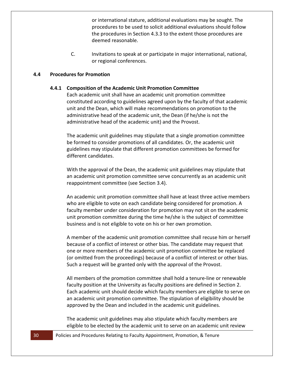or international stature, additional evaluations may be sought. The procedures to be used to solicit additional evaluations should follow the procedures in Section 4.3.3 to the extent those procedures are deemed reasonable.

C. Invitations to speak at or participate in major international, national, or regional conferences.

#### <span id="page-30-1"></span><span id="page-30-0"></span>**4.4 Procedures for Promotion**

#### **4.4.1 Composition of the Academic Unit Promotion Committee**

Each academic unit shall have an academic unit promotion committee constituted according to guidelines agreed upon by the faculty of that academic unit and the Dean, which will make recommendations on promotion to the administrative head of the academic unit, the Dean (if he/she is not the administrative head of the academic unit) and the Provost.

The academic unit guidelines may stipulate that a single promotion committee be formed to consider promotions of all candidates. Or, the academic unit guidelines may stipulate that different promotion committees be formed for different candidates.

With the approval of the Dean, the academic unit guidelines may stipulate that an academic unit promotion committee serve concurrently as an academic unit reappointment committee (see Section 3.4).

An academic unit promotion committee shall have at least three active members who are eligible to vote on each candidate being considered for promotion. A faculty member under consideration for promotion may not sit on the academic unit promotion committee during the time he/she is the subject of committee business and is not eligible to vote on his or her own promotion.

A member of the academic unit promotion committee shall recuse him or herself because of a conflict of interest or other bias. The candidate may request that one or more members of the academic unit promotion committee be replaced (or omitted from the proceedings) because of a conflict of interest or other bias. Such a request will be granted only with the approval of the Provost.

All members of the promotion committee shall hold a tenure-line or renewable faculty position at the University as faculty positions are defined in Section 2. Each academic unit should decide which faculty members are eligible to serve on an academic unit promotion committee. The stipulation of eligibility should be approved by the Dean and included in the academic unit guidelines.

The academic unit guidelines may also stipulate which faculty members are eligible to be elected by the academic unit to serve on an academic unit review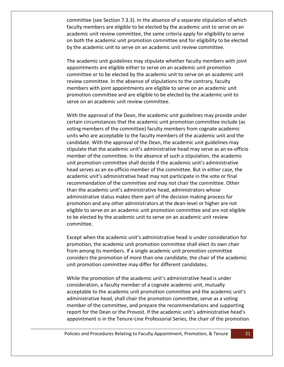committee (see Section 7.3.3). In the absence of a separate stipulation of which faculty members are eligible to be elected by the academic unit to serve on an academic unit review committee, the same criteria apply for eligibility to serve on both the academic unit promotion committee and for eligibility to be elected by the academic unit to serve on an academic unit review committee.

The academic unit guidelines may stipulate whether faculty members with joint appointments are eligible either to serve on an academic unit promotion committee or to be elected by the academic unit to serve on an academic unit review committee. In the absence of stipulations to the contrary, faculty members with joint appointments are eligible to serve on an academic unit promotion committee and are eligible to be elected by the academic unit to serve on an academic unit review committee.

With the approval of the Dean, the academic unit guidelines may provide under certain circumstances that the academic unit promotion committee include (as voting members of the committee) faculty members from cognate academic units who are acceptable to the faculty members of the academic unit and the candidate. With the approval of the Dean, the academic unit guidelines may stipulate that the academic unit's administrative head may serve as an ex-officio member of the committee. In the absence of such a stipulation, the academic unit promotion committee shall decide if the academic unit's administrative head serves as an ex-officio member of the committee. But in either case, the academic unit's administrative head may not participate in the vote or final recommendation of the committee and may not chair the committee. Other than the academic unit's administrative head, administrators whose administrative status makes them part of the decision making process for promotion and any other administrators at the dean-level or higher are not eligible to serve on an academic unit promotion committee and are not eligible to be elected by the academic unit to serve on an academic unit review committee.

Except when the academic unit's administrative head is under consideration for promotion, the academic unit promotion committee shall elect its own chair from among its members. If a single academic unit promotion committee considers the promotion of more than one candidate, the chair of the academic unit promotion committee may differ for different candidates.

While the promotion of the academic unit's administrative head is under consideration, a faculty member of a cognate academic unit, mutually acceptable to the academic unit promotion committee and the academic unit's administrative head, shall chair the promotion committee, serve as a voting member of the committee, and prepare the recommendations and supporting report for the Dean or the Provost. If the academic unit's administrative head's appointment is in the Tenure-Line Professorial Series, the chair of the promotion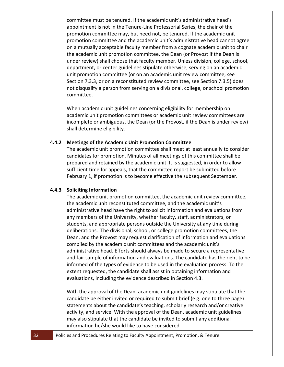committee must be tenured. If the academic unit's administrative head's appointment is not in the Tenure-Line Professorial Series, the chair of the promotion committee may, but need not, be tenured. If the academic unit promotion committee and the academic unit's administrative head cannot agree on a mutually acceptable faculty member from a cognate academic unit to chair the academic unit promotion committee, the Dean (or Provost if the Dean is under review) shall choose that faculty member. Unless division, college, school, department, or center guidelines stipulate otherwise, serving on an academic unit promotion committee (or on an academic unit review committee, see Section 7.3.3, or on a reconstituted review committee, see Section 7.3.5) does not disqualify a person from serving on a divisional, college, or school promotion committee.

When academic unit guidelines concerning eligibility for membership on academic unit promotion committees or academic unit review committees are incomplete or ambiguous, the Dean (or the Provost, if the Dean is under review) shall determine eligibility.

#### <span id="page-32-0"></span>**4.4.2 Meetings of the Academic Unit Promotion Committee**

The academic unit promotion committee shall meet at least annually to consider candidates for promotion. Minutes of all meetings of this committee shall be prepared and retained by the academic unit. It is suggested, in order to allow sufficient time for appeals, that the committee report be submitted before February 1, if promotion is to become effective the subsequent September.

#### <span id="page-32-1"></span>**4.4.3 Soliciting Information**

The academic unit promotion committee, the academic unit review committee, the academic unit reconstituted committee, and the academic unit's administrative head have the right to solicit information and evaluations from any members of the University, whether faculty, staff, administrators, or students, and appropriate persons outside the University at any time during deliberations. The divisional, school, or college promotion committees, the Dean, and the Provost may request clarification of information and evaluations compiled by the academic unit committees and the academic unit's administrative head. Efforts should always be made to secure a representative and fair sample of information and evaluations. The candidate has the right to be informed of the types of evidence to be used in the evaluation process. To the extent requested, the candidate shall assist in obtaining information and evaluations, including the evidence described in Section 4.3.

With the approval of the Dean, academic unit guidelines may stipulate that the candidate be either invited or required to submit brief (e.g. one to three page) statements about the candidate's teaching, scholarly research and/or creative activity, and service. With the approval of the Dean, academic unit guidelines may also stipulate that the candidate be invited to submit any additional information he/she would like to have considered.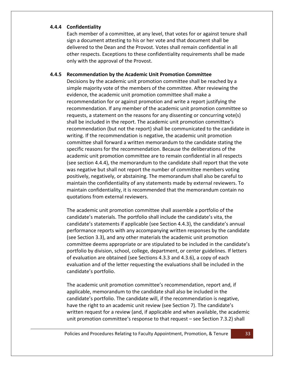#### <span id="page-33-0"></span>**4.4.4 Confidentiality**

Each member of a committee, at any level, that votes for or against tenure shall sign a document attesting to his or her vote and that document shall be delivered to the Dean and the Provost. Votes shall remain confidential in all other respects. Exceptions to these confidentiality requirements shall be made only with the approval of the Provost.

#### <span id="page-33-1"></span>**4.4.5 Recommendation by the Academic Unit Promotion Committee**

Decisions by the academic unit promotion committee shall be reached by a simple majority vote of the members of the committee. After reviewing the evidence, the academic unit promotion committee shall make a recommendation for or against promotion and write a report justifying the recommendation. If any member of the academic unit promotion committee so requests, a statement on the reasons for any dissenting or concurring vote(s) shall be included in the report. The academic unit promotion committee's recommendation (but not the report) shall be communicated to the candidate in writing. If the recommendation is negative, the academic unit promotion committee shall forward a written memorandum to the candidate stating the specific reasons for the recommendation. Because the deliberations of the academic unit promotion committee are to remain confidential in all respects (see section 4.4.4), the memorandum to the candidate shall report that the vote was negative but shall not report the number of committee members voting positively, negatively, or abstaining. The memorandum shall also be careful to maintain the confidentiality of any statements made by external reviewers. To maintain confidentiality, it is recommended that the memorandum contain no quotations from external reviewers.

The academic unit promotion committee shall assemble a portfolio of the candidate's materials. The portfolio shall include the candidate's vita, the candidate's statements if applicable (see Section 4.4.3), the candidate's annual performance reports with any accompanying written responses by the candidate (see Section 3.3), and any other materials the academic unit promotion committee deems appropriate or are stipulated to be included in the candidate's portfolio by division, school, college, department, or center guidelines. If letters of evaluation are obtained (see Sections 4.3.3 and 4.3.6), a copy of each evaluation and of the letter requesting the evaluations shall be included in the candidate's portfolio.

The academic unit promotion committee's recommendation, report and, if applicable, memorandum to the candidate shall also be included in the candidate's portfolio. The candidate will, if the recommendation is negative, have the right to an academic unit review (see Section 7). The candidate's written request for a review (and, if applicable and when available, the academic unit promotion committee's response to that request – see Section 7.3.2) shall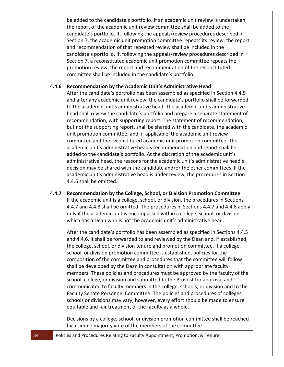be added to the candidate's portfolio. If an academic unit review is undertaken, the report of the academic unit review committee shall be added to the candidate's portfolio. If, following the appeals/review procedures described in Section 7, the academic unit promotion committee repeats its review, the report and recommendation of that repeated review shall be included in the candidate's portfolio. If, following the appeals/review procedures described in Section 7, a reconstituted academic unit promotion committee repeats the promotion review, the report and recommendation of the reconstituted committee shall be included in the candidate's portfolio.

#### <span id="page-34-0"></span>**4.4.6 Recommendation by the Academic Unit's Administrative Head**

After the candidate's portfolio has been assembled as specified in Section 4.4.5 and after any academic unit review, the candidate's portfolio shall be forwarded to the academic unit's administrative head. The academic unit's administrative head shall review the candidate's portfolio and prepare a separate statement of recommendation, with supporting report. The statement of recommendation, but not the supporting report, shall be shared with the candidate, the academic unit promotion committee, and, if applicable, the academic unit review committee and the reconstituted academic unit promotion committee. The academic unit's administrative head's recommendation and report shall be added to the candidate's portfolio. At the discretion of the academic unit's administrative head, the reasons for the academic unit's administrative head's decision may be shared with the candidate and/or the other committees. If the academic unit's administrative head is under review, the procedures in Section 4.4.6 shall be omitted.

<span id="page-34-1"></span>**4.4.7 Recommendation by the College, School, or Division Promotion Committee** If the academic unit is a college, school, or division, the procedures in Sections 4.4.7 and 4.4.8 shall be omitted. The procedures in Sections 4.4.7 and 4.4.8 apply only if the academic unit is encompassed within a college, school, or division which has a Dean who is not the academic unit's administrative head.

After the candidate's portfolio has been assembled as specified in Sections 4.4.5 and 4.4.6, it shall be forwarded to and reviewed by the Dean and, if established, the college, school, or division tenure and promotion committee. If a college, school, or division promotion committee is established, policies for the composition of the committee and procedures that the committee will follow shall be developed by the Dean in consultation with appropriate faculty members. These policies and procedures must be approved by the faculty of the school, college, or division and submitted to the Provost for approval and communicated to faculty members in the college, schools, or division and to the Faculty Senate Personnel Committee. The policies and procedures of colleges, schools or divisions may vary; however, every effort should be made to ensure equitable and fair treatment of the faculty as a whole.

Decisions by a college, school, or division promotion committee shall be reached by a simple majority vote of the members of the committee.

34 Policies and Procedures Relating to Faculty Appointment, Promotion, & Tenure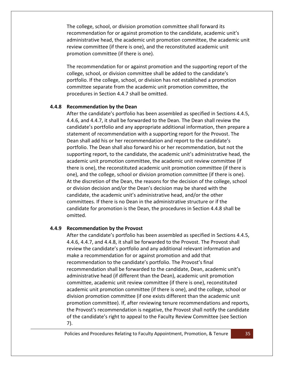The college, school, or division promotion committee shall forward its recommendation for or against promotion to the candidate, academic unit's administrative head, the academic unit promotion committee, the academic unit review committee (if there is one), and the reconstituted academic unit promotion committee (if there is one).

The recommendation for or against promotion and the supporting report of the college, school, or division committee shall be added to the candidate's portfolio. If the college, school, or division has not established a promotion committee separate from the academic unit promotion committee, the procedures in Section 4.4.7 shall be omitted.

#### <span id="page-35-0"></span>**4.4.8 Recommendation by the Dean**

After the candidate's portfolio has been assembled as specified in Sections 4.4.5, 4.4.6, and 4.4.7, it shall be forwarded to the Dean. The Dean shall review the candidate's portfolio and any appropriate additional information, then prepare a statement of recommendation with a supporting report for the Provost. The Dean shall add his or her recommendation and report to the candidate's portfolio. The Dean shall also forward his or her recommendation, but not the supporting report, to the candidate, the academic unit's administrative head, the academic unit promotion committee, the academic unit review committee (if there is one), the reconstituted academic unit promotion committee (if there is one), and the college, school or division promotion committee (if there is one). At the discretion of the Dean, the reasons for the decision of the college, school or division decision and/or the Dean's decision may be shared with the candidate, the academic unit's administrative head, and/or the other committees. If there is no Dean in the administrative structure or if the candidate for promotion is the Dean, the procedures in Section 4.4.8 shall be omitted.

## <span id="page-35-1"></span>**4.4.9 Recommendation by the Provost**

After the candidate's portfolio has been assembled as specified in Sections 4.4.5, 4.4.6, 4.4.7, and 4.4.8, it shall be forwarded to the Provost. The Provost shall review the candidate's portfolio and any additional relevant information and make a recommendation for or against promotion and add that recommendation to the candidate's portfolio. The Provost's final recommendation shall be forwarded to the candidate, Dean, academic unit's administrative head (if different than the Dean), academic unit promotion committee, academic unit review committee (if there is one), reconstituted academic unit promotion committee (if there is one), and the college, school or division promotion committee (if one exists different than the academic unit promotion committee). If, after reviewing tenure recommendations and reports, the Provost's recommendation is negative, the Provost shall notify the candidate of the candidate's right to appeal to the Faculty Review Committee (see Section 7).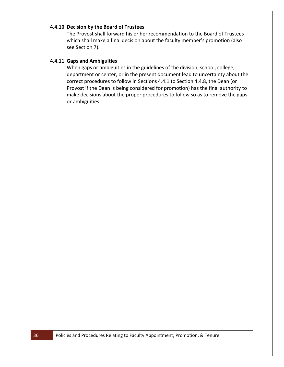## <span id="page-36-0"></span>**4.4.10 Decision by the Board of Trustees**

The Provost shall forward his or her recommendation to the Board of Trustees which shall make a final decision about the faculty member's promotion (also see Section 7).

#### <span id="page-36-1"></span>**4.4.11 Gaps and Ambiguities**

When gaps or ambiguities in the guidelines of the division, school, college, department or center, or in the present document lead to uncertainty about the correct procedures to follow in Sections 4.4.1 to Section 4.4.8, the Dean (or Provost if the Dean is being considered for promotion) has the final authority to make decisions about the proper procedures to follow so as to remove the gaps or ambiguities.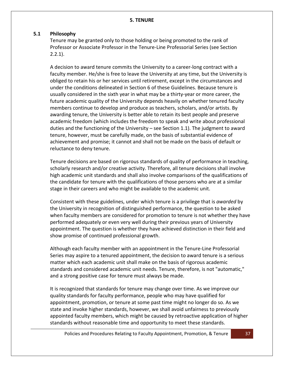## <span id="page-37-1"></span><span id="page-37-0"></span>**5.1 Philosophy**

Tenure may be granted only to those holding or being promoted to the rank of Professor or Associate Professor in the Tenure-Line Professorial Series (see Section  $2.2.1$ ).

A decision to award tenure commits the University to a career-long contract with a faculty member. He/she is free to leave the University at any time, but the University is obliged to retain his or her services until retirement, except in the circumstances and under the conditions delineated in Section 6 of these Guidelines. Because tenure is usually considered in the sixth year in what may be a thirty-year or more career, the future academic quality of the University depends heavily on whether tenured faculty members continue to develop and produce as teachers, scholars, and/or artists. By awarding tenure, the University is better able to retain its best people and preserve academic freedom (which includes the freedom to speak and write about professional duties and the functioning of the University – see Section 1.1). The judgment to award tenure, however, must be carefully made, on the basis of substantial evidence of achievement and promise; it cannot and shall not be made on the basis of default or reluctance to deny tenure.

Tenure decisions are based on rigorous standards of quality of performance in teaching, scholarly research and/or creative activity. Therefore, all tenure decisions shall involve high academic unit standards and shall also involve comparisons of the qualifications of the candidate for tenure with the qualifications of those persons who are at a similar stage in their careers and who might be available to the academic unit.

Consistent with these guidelines, under which tenure is a privilege that is *awarded* by the University in recognition of distinguished performance, the question to be asked when faculty members are considered for promotion to tenure is not whether they have performed adequately or even very well during their previous years of University appointment. The question is whether they have achieved distinction in their field and show promise of continued professional growth.

Although each faculty member with an appointment in the Tenure-Line Professorial Series may aspire to a tenured appointment, the decision to award tenure is a serious matter which each academic unit shall make on the basis of rigorous academic standards and considered academic unit needs. Tenure, therefore, is not "automatic," and a strong positive case for tenure must always be made.

It is recognized that standards for tenure may change over time. As we improve our quality standards for faculty performance, people who may have qualified for appointment, promotion, or tenure at some past time might no longer do so. As we state and invoke higher standards, however, we shall avoid unfairness to previously appointed faculty members, which might be caused by retroactive application of higher standards without reasonable time and opportunity to meet these standards.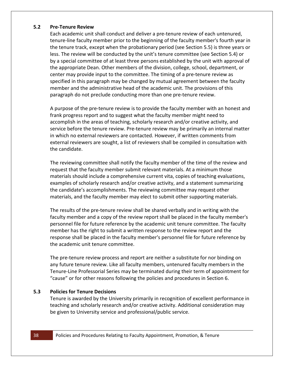#### <span id="page-38-0"></span>**5.2 Pre-Tenure Review**

Each academic unit shall conduct and deliver a pre-tenure review of each untenured, tenure-line faculty member prior to the beginning of the faculty member's fourth year in the tenure track, except when the probationary period (see Section 5.5) is three years or less. The review will be conducted by the unit's tenure committee (see Section 5.4) or by a special committee of at least three persons established by the unit with approval of the appropriate Dean. Other members of the division, college, school, department, or center may provide input to the committee. The timing of a pre-tenure review as specified in this paragraph may be changed by mutual agreement between the faculty member and the administrative head of the academic unit. The provisions of this paragraph do not preclude conducting more than one pre-tenure review.

A purpose of the pre-tenure review is to provide the faculty member with an honest and frank progress report and to suggest what the faculty member might need to accomplish in the areas of teaching, scholarly research and/or creative activity, and service before the tenure review. Pre-tenure review may be primarily an internal matter in which no external reviewers are contacted. However, if written comments from external reviewers are sought, a list of reviewers shall be compiled in consultation with the candidate.

The reviewing committee shall notify the faculty member of the time of the review and request that the faculty member submit relevant materials. At a minimum those materials should include a comprehensive current vita, copies of teaching evaluations, examples of scholarly research and/or creative activity, and a statement summarizing the candidate's accomplishments. The reviewing committee may request other materials, and the faculty member may elect to submit other supporting materials.

The results of the pre-tenure review shall be shared verbally and in writing with the faculty member and a copy of the review report shall be placed in the faculty member's personnel file for future reference by the academic unit tenure committee. The faculty member has the right to submit a written response to the review report and the response shall be placed in the faculty member's personnel file for future reference by the academic unit tenure committee.

The pre-tenure review process and report are neither a substitute for nor binding on any future tenure review. Like all faculty members, untenured faculty members in the Tenure-Line Professorial Series may be terminated during their term of appointment for "cause" or for other reasons following the policies and procedures in Section 6.

# <span id="page-38-1"></span>**5.3 Policies for Tenure Decisions**

Tenure is awarded by the University primarily in recognition of excellent performance in teaching and scholarly research and/or creative activity. Additional consideration may be given to University service and professional/public service.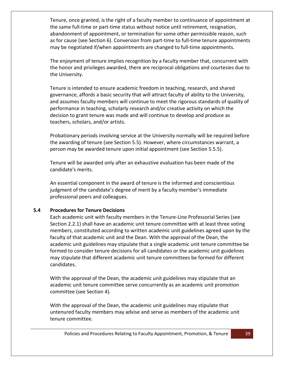Tenure, once granted, is the right of a faculty member to continuance of appointment at the same full-time or part-time status without notice until retirement, resignation, abandonment of appointment, or termination for some other permissible reason, such as for cause (see Section 6). Conversion from part-time to full-time tenure appointments may be negotiated if/when appointments are changed to full-time appointments.

The enjoyment of tenure implies recognition by a faculty member that, concurrent with the honor and privileges awarded, there are reciprocal obligations and courtesies due to the University.

Tenure is intended to ensure academic freedom in teaching, research, and shared governance, affords a basic security that will attract faculty of ability to the University, and assumes faculty members will continue to meet the rigorous standards of quality of performance in teaching, scholarly research and/or creative activity on which the decision to grant tenure was made and will continue to develop and produce as teachers, scholars, and/or artists.

Probationary periods involving service at the University normally will be required before the awarding of tenure (see Section 5.5). However, where circumstances warrant, a person may be awarded tenure upon initial appointment (see Section 5.5.5).

Tenure will be awarded only after an exhaustive evaluation has been made of the candidate's merits.

An essential component in the award of tenure is the informed and conscientious judgment of the candidate's degree of merit by a faculty member's immediate professional peers and colleagues.

# <span id="page-39-0"></span>**5.4 Procedures for Tenure Decisions**

Each academic unit with faculty members in the Tenure-Line Professorial Series (see Section 2.2.1) shall have an academic unit tenure committee with at least three voting members, constituted according to written academic unit guidelines agreed upon by the faculty of that academic unit and the Dean. With the approval of the Dean, the academic unit guidelines may stipulate that a single academic unit tenure committee be formed to consider tenure decisions for all candidates or the academic unit guidelines may stipulate that different academic unit tenure committees be formed for different candidates.

With the approval of the Dean, the academic unit guidelines may stipulate that an academic unit tenure committee serve concurrently as an academic unit promotion committee (see Section 4).

With the approval of the Dean, the academic unit guidelines may stipulate that untenured faculty members may advise and serve as members of the academic unit tenure committee.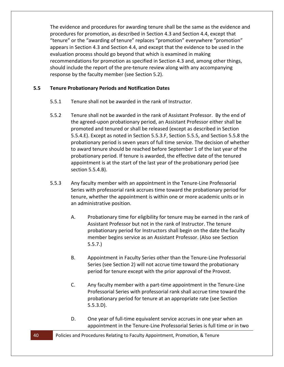The evidence and procedures for awarding tenure shall be the same as the evidence and procedures for promotion, as described in Section 4.3 and Section 4.4, except that "tenure" or the "awarding of tenure" replaces "promotion" everywhere "promotion" appears in Section 4.3 and Section 4.4, and except that the evidence to be used in the evaluation process should go beyond that which is examined in making recommendations for promotion as specified in Section 4.3 and, among other things, should include the report of the pre-tenure review along with any accompanying response by the faculty member (see Section 5.2).

## <span id="page-40-0"></span>**5.5 Tenure Probationary Periods and Notification Dates**

- 5.5.1 Tenure shall not be awarded in the rank of Instructor.
- 5.5.2 Tenure shall not be awarded in the rank of Assistant Professor. By the end of the agreed-upon probationary period, an Assistant Professor either shall be promoted and tenured or shall be released (except as described in Section 5.5.4.E). Except as noted in Section 5.5.3.F, Section 5.5.5, and Section 5.5.8 the probationary period is seven years of full time service. The decision of whether to award tenure should be reached before September 1 of the last year of the probationary period. If tenure is awarded, the effective date of the tenured appointment is at the start of the last year of the probationary period (see section 5.5.4.B).
- 5.5.3 Any faculty member with an appointment in the Tenure-Line Professorial Series with professorial rank accrues time toward the probationary period for tenure, whether the appointment is within one or more academic units or in an administrative position.
	- A. Probationary time for eligibility for tenure may be earned in the rank of Assistant Professor but not in the rank of Instructor. The tenure probationary period for Instructors shall begin on the date the faculty member begins service as an Assistant Professor. (Also see Section 5.5.7.)
	- B. Appointment in Faculty Series other than the Tenure-Line Professorial Series (see Section 2) will not accrue time toward the probationary period for tenure except with the prior approval of the Provost.
	- C. Any faculty member with a part-time appointment in the Tenure-Line Professorial Series with professorial rank shall accrue time toward the probationary period for tenure at an appropriate rate (see Section 5.5.3.D).
	- D. One year of full-time equivalent service accrues in one year when an appointment in the Tenure-Line Professorial Series is full time or in two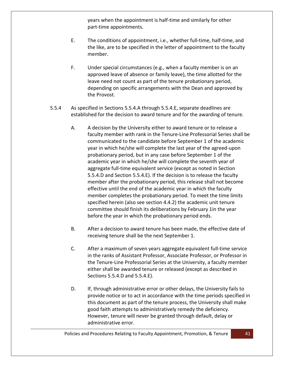years when the appointment is half-time and similarly for other part-time appointments.

- E. The conditions of appointment, i.e., whether full-time, half-time, and the like, are to be specified in the letter of appointment to the faculty member.
- F. Under special circumstances (e.g., when a faculty member is on an approved leave of absence or family leave), the time allotted for the leave need not count as part of the tenure probationary period, depending on specific arrangements with the Dean and approved by the Provost.
- 5.5.4 As specified in Sections 5.5.4.A through 5.5.4.E, separate deadlines are established for the decision to award tenure and for the awarding of tenure.
	- A. A decision by the University either to award tenure or to release a faculty member with rank in the Tenure-Line Professorial Series shall be communicated to the candidate before September 1 of the academic year in which he/she will complete the last year of the agreed-upon probationary period, but in any case before September 1 of the academic year in which he/she will complete the seventh year of aggregate full-time equivalent service (except as noted in Section 5.5.4.D and Section 5.5.4.E). If the decision is to release the faculty member after the probationary period, this release shall not become effective until the end of the academic year in which the faculty member completes the probationary period. To meet the time limits specified herein (also see section 4.4.2) the academic unit tenure committee should finish its deliberations by February 1in the year before the year in which the probationary period ends.
	- B. After a decision to award tenure has been made, the effective date of receiving tenure shall be the next September 1.
	- C. After a maximum of seven years aggregate equivalent full-time service in the ranks of Assistant Professor, Associate Professor, or Professor in the Tenure-Line Professorial Series at the University, a faculty member either shall be awarded tenure or released (except as described in Sections 5.5.4.D and 5.5.4.E).
	- D. If, through administrative error or other delays, the University fails to provide notice or to act in accordance with the time periods specified in this document as part of the tenure process, the University shall make good faith attempts to administratively remedy the deficiency. However, tenure will never be granted through default, delay or administrative error.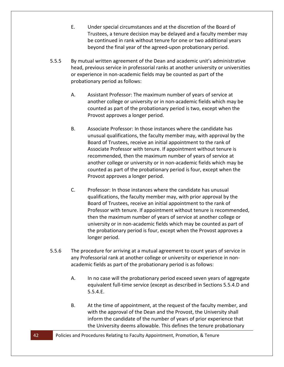- E. Under special circumstances and at the discretion of the Board of Trustees, a tenure decision may be delayed and a faculty member may be continued in rank without tenure for one or two additional years beyond the final year of the agreed-upon probationary period.
- 5.5.5 By mutual written agreement of the Dean and academic unit's administrative head, previous service in professorial ranks at another university or universities or experience in non-academic fields may be counted as part of the probationary period as follows:
	- A. Assistant Professor: The maximum number of years of service at another college or university or in non-academic fields which may be counted as part of the probationary period is two, except when the Provost approves a longer period.
	- B. Associate Professor: In those instances where the candidate has unusual qualifications, the faculty member may, with approval by the Board of Trustees, receive an initial appointment to the rank of Associate Professor with tenure. If appointment without tenure is recommended, then the maximum number of years of service at another college or university or in non-academic fields which may be counted as part of the probationary period is four, except when the Provost approves a longer period.
	- C. Professor: In those instances where the candidate has unusual qualifications, the faculty member may, with prior approval by the Board of Trustees, receive an initial appointment to the rank of Professor with tenure. If appointment without tenure is recommended, then the maximum number of years of service at another college or university or in non-academic fields which may be counted as part of the probationary period is four, except when the Provost approves a longer period.
- 5.5.6 The procedure for arriving at a mutual agreement to count years of service in any Professorial rank at another college or university or experience in nonacademic fields as part of the probationary period is as follows:
	- A. In no case will the probationary period exceed seven years of aggregate equivalent full-time service (except as described in Sections 5.5.4.D and 5.5.4.E.
	- B. At the time of appointment, at the request of the faculty member, and with the approval of the Dean and the Provost, the University shall inform the candidate of the number of years of prior experience that the University deems allowable. This defines the tenure probationary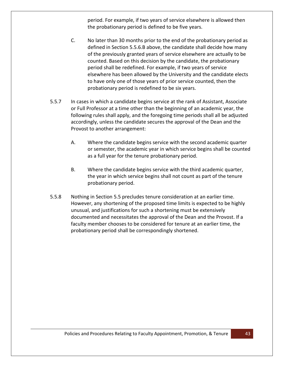period. For example, if two years of service elsewhere is allowed then the probationary period is defined to be five years.

- C. No later than 30 months prior to the end of the probationary period as defined in Section 5.5.6.B above, the candidate shall decide how many of the previously granted years of service elsewhere are actually to be counted. Based on this decision by the candidate, the probationary period shall be redefined. For example, if two years of service elsewhere has been allowed by the University and the candidate elects to have only one of those years of prior service counted, then the probationary period is redefined to be six years.
- 5.5.7 In cases in which a candidate begins service at the rank of Assistant, Associate or Full Professor at a time other than the beginning of an academic year, the following rules shall apply, and the foregoing time periods shall all be adjusted accordingly, unless the candidate secures the approval of the Dean and the Provost to another arrangement:
	- A. Where the candidate begins service with the second academic quarter or semester, the academic year in which service begins shall be counted as a full year for the tenure probationary period.
	- B. Where the candidate begins service with the third academic quarter, the year in which service begins shall not count as part of the tenure probationary period.
- 5.5.8 Nothing in Section 5.5 precludes tenure consideration at an earlier time. However, any shortening of the proposed time limits is expected to be highly unusual, and justifications for such a shortening must be extensively documented and necessitates the approval of the Dean and the Provost. If a faculty member chooses to be considered for tenure at an earlier time, the probationary period shall be correspondingly shortened.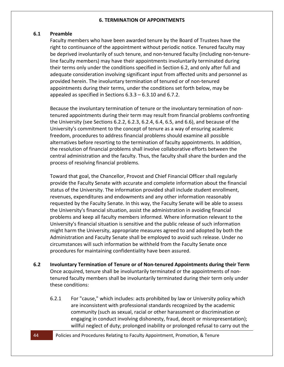#### **6. TERMINATION OF APPOINTMENTS**

#### <span id="page-44-1"></span><span id="page-44-0"></span>**6.1 Preamble**

Faculty members who have been awarded tenure by the Board of Trustees have the right to continuance of the appointment without periodic notice. Tenured faculty may be deprived involuntarily of such tenure, and non-tenured faculty (including non-tenureline faculty members) may have their appointments involuntarily terminated during their terms only under the conditions specified in Section 6.2, and only after full and adequate consideration involving significant input from affected units and personnel as provided herein. The involuntary termination of tenured or of non-tenured appointments during their terms, under the conditions set forth below, may be appealed as specified in Sections 6.3.3 – 6.3.10 and 6.7.2.

Because the involuntary termination of tenure or the involuntary termination of nontenured appointments during their term may result from financial problems confronting the University (see Sections 6.2.2, 6.2.3, 6.2.4, 6.4, 6.5, and 6.6), and because of the University's commitment to the concept of tenure as a way of ensuring academic freedom, procedures to address financial problems should examine all possible alternatives before resorting to the termination of faculty appointments. In addition, the resolution of financial problems shall involve collaborative efforts between the central administration and the faculty. Thus, the faculty shall share the burden and the process of resolving financial problems.

Toward that goal, the Chancellor, Provost and Chief Financial Officer shall regularly provide the Faculty Senate with accurate and complete information about the financial status of the University. The information provided shall include student enrollment, revenues, expenditures and endowments and any other information reasonably requested by the Faculty Senate. In this way, the Faculty Senate will be able to assess the University's financial situation, assist the administration in avoiding financial problems and keep all faculty members informed. Where information relevant to the University's financial situation is sensitive and the public release of such information might harm the University, appropriate measures agreed to and adopted by both the Administration and Faculty Senate shall be employed to avoid such release. Under no circumstances will such information be withheld from the Faculty Senate once procedures for maintaining confidentiality have been assured.

- <span id="page-44-2"></span>**6.2 Involuntary Termination of Tenure or of Non-tenured Appointments during their Term** Once acquired, tenure shall be involuntarily terminated or the appointments of nontenured faculty members shall be involuntarily terminated during their term only under these conditions:
	- 6.2.1 For "cause," which includes: acts prohibited by law or University policy which are inconsistent with professional standards recognized by the academic community (such as sexual, racial or other harassment or discrimination or engaging in conduct involving dishonesty, fraud, deceit or misrepresentation); willful neglect of duty; prolonged inability or prolonged refusal to carry out the
- 44 Policies and Procedures Relating to Faculty Appointment, Promotion, & Tenure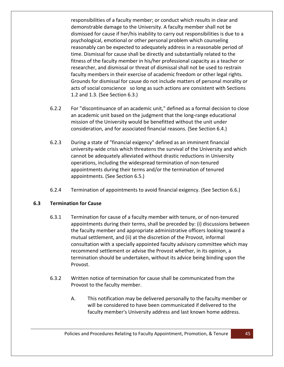responsibilities of a faculty member; or conduct which results in clear and demonstrable damage to the University. A faculty member shall not be dismissed for cause if her/his inability to carry out responsibilities is due to a psychological, emotional or other personal problem which counseling reasonably can be expected to adequately address in a reasonable period of time. Dismissal for cause shall be directly and substantially related to the fitness of the faculty member in his/her professional capacity as a teacher or researcher, and dismissal or threat of dismissal shall not be used to restrain faculty members in their exercise of academic freedom or other legal rights. Grounds for dismissal for cause do not include matters of personal morality or acts of social conscience so long as such actions are consistent with Sections 1.2 and 1.3. (See Section 6.3.)

- 6.2.2 For "discontinuance of an academic unit," defined as a formal decision to close an academic unit based on the judgment that the long-range educational mission of the University would be benefitted without the unit under consideration, and for associated financial reasons. (See Section 6.4.)
- 6.2.3 During a state of "financial exigency" defined as an imminent financial university-wide crisis which threatens the survival of the University and which cannot be adequately alleviated without drastic reductions in University operations, including the widespread termination of non-tenured appointments during their terms and/or the termination of tenured appointments. (See Section 6.5.)
- 6.2.4 Termination of appointments to avoid financial exigency. (See Section 6.6.)

## <span id="page-45-0"></span>**6.3 Termination for Cause**

- 6.3.1 Termination for cause of a faculty member with tenure, or of non-tenured appointments during their terms, shall be preceded by: (i) discussions between the faculty member and appropriate administrative officers looking toward a mutual settlement, and (ii) at the discretion of the Provost, informal consultation with a specially appointed faculty advisory committee which may recommend settlement or advise the Provost whether, in its opinion, a termination should be undertaken, without its advice being binding upon the Provost.
- 6.3.2 Written notice of termination for cause shall be communicated from the Provost to the faculty member.
	- A. This notification may be delivered personally to the faculty member or will be considered to have been communicated if delivered to the faculty member's University address and last known home address.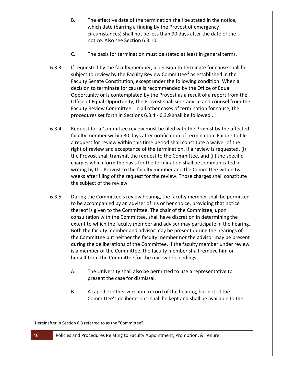- B. The effective date of the termination shall be stated in the notice, which date (barring a finding by the Provost of emergency circumstances) shall not be less than 90 days after the date of the notice. Also see Section 6.3.10.
- C. The basis for termination must be stated at least in general terms.
- 6.3.3 If requested by the faculty member, a decision to terminate for cause shall be subject to review by the Faculty Review Committee<sup>[1](#page-46-0)</sup> as established in the Faculty Senate Constitution, except under the following condition. When a decision to terminate for cause is recommended by the Office of Equal Opportunity or is contemplated by the Provost as a result of a report from the Office of Equal Opportunity, the Provost shall seek advice and counsel from the Faculty Review Committee. In all other cases of termination for cause, the procedures set forth in Sections 6.3.4 - 6.3.9 shall be followed .
- 6.3.4 Request for a Committee review must be filed with the Provost by the affected faculty member within 30 days after notification of termination. Failure to file a request for review within this time period shall constitute a waiver of the right of review and acceptance of the termination. If a review is requested, (i) the Provost shall transmit the request to the Committee, and (ii) the specific charges which form the basis for the termination shall be communicated in writing by the Provost to the faculty member and the Committee within two weeks after filing of the request for the review. Those charges shall constitute the subject of the review.
- 6.3.5 During the Committee's review hearing, the faculty member shall be permitted to be accompanied by an adviser of his or her choice, providing that notice thereof is given to the Committee. The chair of the Committee, upon consultation with the Committee, shall have discretion in determining the extent to which the faculty member and adviser may participate in the hearing. Both the faculty member and advisor may be present during the hearings of the Committee but neither the faculty member nor the advisor may be present during the deliberations of the Committee. If the faculty member under review is a member of the Committee, the faculty member shall remove him or herself from the Committee for the review proceedings.
	- A. The University shall also be permitted to use a representative to present the case for dismissal.
	- B. A taped or other verbatim record of the hearing, but not of the Committee's deliberations, shall be kept and shall be available to the

Ξ

<span id="page-46-0"></span> $^{1}$ Hereinafter in Section 6.3 referred to as the "Committee".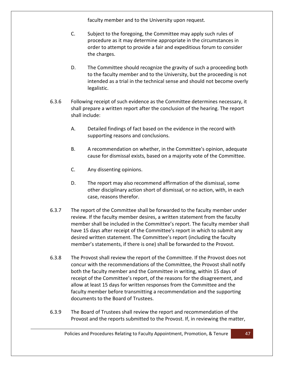faculty member and to the University upon request.

- C. Subject to the foregoing, the Committee may apply such rules of procedure as it may determine appropriate in the circumstances in order to attempt to provide a fair and expeditious forum to consider the charges.
- D. The Committee should recognize the gravity of such a proceeding both to the faculty member and to the University, but the proceeding is not intended as a trial in the technical sense and should not become overly legalistic.
- 6.3.6 Following receipt of such evidence as the Committee determines necessary, it shall prepare a written report after the conclusion of the hearing. The report shall include:
	- A. Detailed findings of fact based on the evidence in the record with supporting reasons and conclusions.
	- B. A recommendation on whether, in the Committee's opinion, adequate cause for dismissal exists, based on a majority vote of the Committee.
	- C. Any dissenting opinions.
	- D. The report may also recommend affirmation of the dismissal, some other disciplinary action short of dismissal, or no action, with, in each case, reasons therefor.
- 6.3.7 The report of the Committee shall be forwarded to the faculty member under review. If the faculty member desires, a written statement from the faculty member shall be included in the Committee's report. The faculty member shall have 15 days after receipt of the Committee's report in which to submit any desired written statement. The Committee's report (including the faculty member's statements, if there is one) shall be forwarded to the Provost.
- 6.3.8 The Provost shall review the report of the Committee. If the Provost does not concur with the recommendations of the Committee, the Provost shall notify both the faculty member and the Committee in writing, within 15 days of receipt of the Committee's report, of the reasons for the disagreement, and allow at least 15 days for written responses from the Committee and the faculty member before transmitting a recommendation and the supporting documents to the Board of Trustees.
- 6.3.9 The Board of Trustees shall review the report and recommendation of the Provost and the reports submitted to the Provost. If, in reviewing the matter,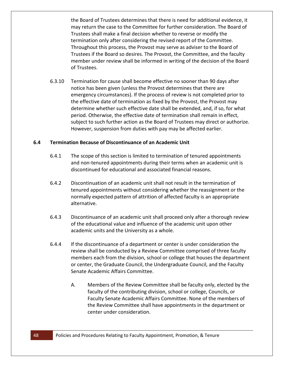the Board of Trustees determines that there is need for additional evidence, it may return the case to the Committee for further consideration. The Board of Trustees shall make a final decision whether to reverse or modify the termination only after considering the revised report of the Committee. Throughout this process, the Provost may serve as adviser to the Board of Trustees if the Board so desires. The Provost, the Committee, and the faculty member under review shall be informed in writing of the decision of the Board of Trustees.

6.3.10 Termination for cause shall become effective no sooner than 90 days after notice has been given (unless the Provost determines that there are emergency circumstances). If the process of review is not completed prior to the effective date of termination as fixed by the Provost, the Provost may determine whether such effective date shall be extended, and, if so, for what period. Otherwise, the effective date of termination shall remain in effect, subject to such further action as the Board of Trustees may direct or authorize. However, suspension from duties with pay may be affected earlier.

#### <span id="page-48-0"></span>**6.4 Termination Because of Discontinuance of an Academic Unit**

- 6.4.1 The scope of this section is limited to termination of tenured appointments and non-tenured appointments during their terms when an academic unit is discontinued for educational and associated financial reasons.
- 6.4.2 Discontinuation of an academic unit shall not result in the termination of tenured appointments without considering whether the reassignment or the normally expected pattern of attrition of affected faculty is an appropriate alternative.
- 6.4.3 Discontinuance of an academic unit shall proceed only after a thorough review of the educational value and influence of the academic unit upon other academic units and the University as a whole.
- 6.4.4 If the discontinuance of a department or center is under consideration the review shall be conducted by a Review Committee comprised of three faculty members each from the division, school or college that houses the department or center, the Graduate Council, the Undergraduate Council, and the Faculty Senate Academic Affairs Committee.
	- A. Members of the Review Committee shall be faculty only, elected by the faculty of the contributing division, school or college, Councils, or Faculty Senate Academic Affairs Committee. None of the members of the Review Committee shall have appointments in the department or center under consideration.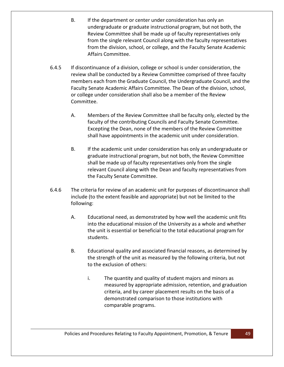- B. If the department or center under consideration has only an undergraduate or graduate instructional program, but not both, the Review Committee shall be made up of faculty representatives only from the single relevant Council along with the faculty representatives from the division, school, or college, and the Faculty Senate Academic Affairs Committee.
- 6.4.5 If discontinuance of a division, college or school is under consideration, the review shall be conducted by a Review Committee comprised of three faculty members each from the Graduate Council, the Undergraduate Council, and the Faculty Senate Academic Affairs Committee. The Dean of the division, school, or college under consideration shall also be a member of the Review Committee.
	- A. Members of the Review Committee shall be faculty only, elected by the faculty of the contributing Councils and Faculty Senate Committee. Excepting the Dean, none of the members of the Review Committee shall have appointments in the academic unit under consideration.
	- B. If the academic unit under consideration has only an undergraduate or graduate instructional program, but not both, the Review Committee shall be made up of faculty representatives only from the single relevant Council along with the Dean and faculty representatives from the Faculty Senate Committee.
- 6.4.6 The criteria for review of an academic unit for purposes of discontinuance shall include (to the extent feasible and appropriate) but not be limited to the following:
	- A. Educational need, as demonstrated by how well the academic unit fits into the educational mission of the University as a whole and whether the unit is essential or beneficial to the total educational program for students.
	- B. Educational quality and associated financial reasons, as determined by the strength of the unit as measured by the following criteria, but not to the exclusion of others:
		- i. The quantity and quality of student majors and minors as measured by appropriate admission, retention, and graduation criteria, and by career placement results on the basis of a demonstrated comparison to those institutions with comparable programs.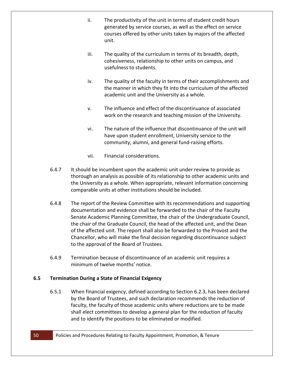- ii. The productivity of the unit in terms of student credit hours generated by service courses, as well as the effect on service courses offered by other units taken by majors of the affected unit.
- iii. The quality of the curriculum in terms of its breadth, depth, cohesiveness, relationship to other units on campus, and usefulness to students.
- iv. The quality of the faculty in terms of their accomplishments and the manner in which they fit into the curriculum of the affected academic unit and the University as a whole.
- v. The influence and effect of the discontinuance of associated work on the research and teaching mission of the University.
- vi. The nature of the influence that discontinuance of the unit will have upon student enrollment, University service to the community, alumni, and general fund-raising efforts.
- vii. Financial considerations.
- 6.4.7 It should be incumbent upon the academic unit under review to provide as thorough an analysis as possible of its relationship to other academic units and the University as a whole. When appropriate, relevant information concerning comparable units at other institutions should be included.
- 6.4.8 The report of the Review Committee with its recommendations and supporting documentation and evidence shall be forwarded to the chair of the Faculty Senate Academic Planning Committee, the chair of the Undergraduate Council, the chair of the Graduate Council, the head of the affected unit, and the Dean of the affected unit. The report shall also be forwarded to the Provost and the Chancellor, who will make the final decision regarding discontinuance subject to the approval of the Board of Trustees.
- 6.4.9 Termination because of discontinuance of an academic unit requires a minimum of twelve months' notice.

# <span id="page-50-0"></span>**6.5 Termination During a State of Financial Exigency**

6.5.1 When financial exigency, defined according to Section 6.2.3, has been declared by the Board of Trustees, and such declaration recommends the reduction of faculty, the faculty of those academic units where reductions are to be made shall elect committees to develop a general plan for the reduction of faculty and to identify the positions to be eliminated or modified.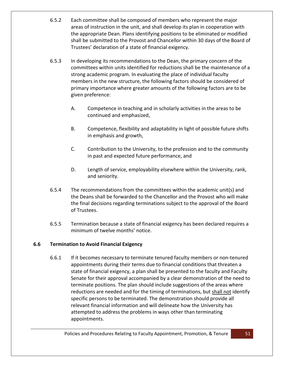- 6.5.2 Each committee shall be composed of members who represent the major areas of instruction in the unit, and shall develop its plan in cooperation with the appropriate Dean. Plans identifying positions to be eliminated or modified shall be submitted to the Provost and Chancellor within 30 days of the Board of Trustees' declaration of a state of financial exigency.
- 6.5.3 In developing its recommendations to the Dean, the primary concern of the committees within units identified for reductions shall be the maintenance of a strong academic program. In evaluating the place of individual faculty members in the new structure, the following factors should be considered of primary importance where greater amounts of the following factors are to be given preference:
	- A. Competence in teaching and in scholarly activities in the areas to be continued and emphasized,
	- B. Competence, flexibility and adaptability in light of possible future shifts in emphasis and growth,
	- C. Contribution to the University, to the profession and to the community in past and expected future performance, and
	- D. Length of service, employability elsewhere within the University, rank, and seniority.
- 6.5.4 The recommendations from the committees within the academic unit(s) and the Deans shall be forwarded to the Chancellor and the Provost who will make the final decisions regarding terminations subject to the approval of the Board of Trustees.
- 6.5.5 Termination because a state of financial exigency has been declared requires a minimum of twelve months' notice.

# <span id="page-51-0"></span>**6.6 Termination to Avoid Financial Exigency**

6.6.1 If it becomes necessary to terminate tenured faculty members or non-tenured appointments during their terms due to financial conditions that threaten a state of financial exigency, a plan shall be presented to the faculty and Faculty Senate for their approval accompanied by a clear demonstration of the need to terminate positions. The plan should include suggestions of the areas where reductions are needed and for the timing of terminations, but shall not identify specific persons to be terminated. The demonstration should provide all relevant financial information and will delineate how the University has attempted to address the problems in ways other than terminating appointments.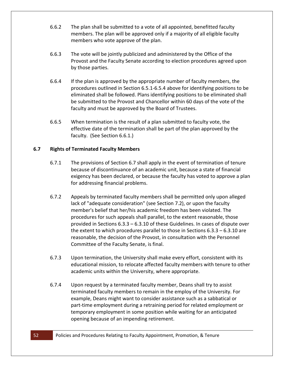- 6.6.2 The plan shall be submitted to a vote of all appointed, benefitted faculty members. The plan will be approved only if a majority of all eligible faculty members who vote approve of the plan.
- 6.6.3 The vote will be jointly publicized and administered by the Office of the Provost and the Faculty Senate according to election procedures agreed upon by those parties.
- 6.6.4 If the plan is approved by the appropriate number of faculty members, the procedures outlined in Section 6.5.1-6.5.4 above for identifying positions to be eliminated shall be followed. Plans identifying positions to be eliminated shall be submitted to the Provost and Chancellor within 60 days of the vote of the faculty and must be approved by the Board of Trustees.
- 6.6.5 When termination is the result of a plan submitted to faculty vote, the effective date of the termination shall be part of the plan approved by the faculty. (See Section 6.6.1.)

# <span id="page-52-0"></span>**6.7 Rights of Terminated Faculty Members**

- 6.7.1 The provisions of Section 6.7 shall apply in the event of termination of tenure because of discontinuance of an academic unit, because a state of financial exigency has been declared, or because the faculty has voted to approve a plan for addressing financial problems.
- 6.7.2 Appeals by terminated faculty members shall be permitted only upon alleged lack of "adequate consideration" (see Section 7.2), or upon the faculty member's belief that her/his academic freedom has been violated. The procedures for such appeals shall parallel, to the extent reasonable, those provided in Sections 6.3.3 – 6.3.10 of these Guidelines. In cases of dispute over the extent to which procedures parallel to those in Sections 6.3.3 – 6.3.10 are reasonable, the decision of the Provost, in consultation with the Personnel Committee of the Faculty Senate, is final.
- 6.7.3 Upon termination, the University shall make every effort, consistent with its educational mission, to relocate affected faculty members with tenure to other academic units within the University, where appropriate.
- 6.7.4 Upon request by a terminated faculty member, Deans shall try to assist terminated faculty members to remain in the employ of the University. For example, Deans might want to consider assistance such as a sabbatical or part-time employment during a retraining period for related employment or temporary employment in some position while waiting for an anticipated opening because of an impending retirement.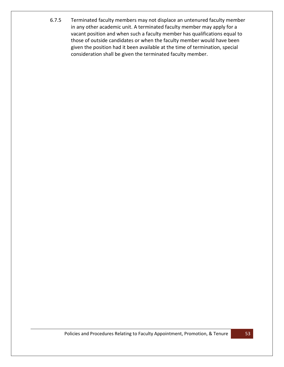6.7.5 Terminated faculty members may not displace an untenured faculty member in any other academic unit. A terminated faculty member may apply for a vacant position and when such a faculty member has qualifications equal to those of outside candidates or when the faculty member would have been given the position had it been available at the time of termination, special consideration shall be given the terminated faculty member.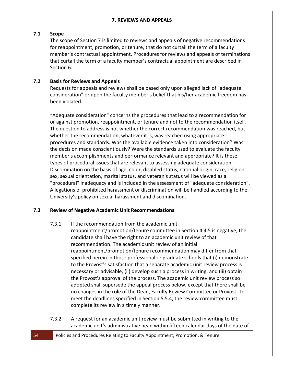# <span id="page-54-1"></span><span id="page-54-0"></span>**7.1 Scope**

The scope of Section 7 is limited to reviews and appeals of negative recommendations for reappointment, promotion, or tenure, that do not curtail the term of a faculty member's contractual appointment. Procedures for reviews and appeals of terminations that curtail the term of a faculty member's contractual appointment are described in Section 6.

# <span id="page-54-2"></span>**7.2 Basis for Reviews and Appeals**

Requests for appeals and reviews shall be based only upon alleged lack of "adequate consideration" or upon the faculty member's belief that his/her academic freedom has been violated.

"Adequate consideration" concerns the procedures that lead to a recommendation for or against promotion, reappointment, or tenure and not to the recommendation itself. The question to address is not whether the correct recommendation was reached, but whether the recommendation, whatever it is, was reached using appropriate procedures and standards. Was the available evidence taken into consideration? Was the decision made conscientiously? Were the standards used to evaluate the faculty member's accomplishments and performance relevant and appropriate? It is these types of procedural issues that are relevant to assessing adequate consideration. Discrimination on the basis of age, color, disabled status, national origin, race, religion, sex, sexual orientation, marital status, and veteran's status will be viewed as a "procedural" inadequacy and is included in the assessment of "adequate consideration". Allegations of prohibited harassment or discrimination will be handled according to the University's policy on sexual harassment and discrimination.

# <span id="page-54-3"></span>**7.3 Review of Negative Academic Unit Recommendations**

7.3.1 If the recommendation from the academic unit

reappointment/promotion/tenure committee in Section 4.4.5 is negative, the candidate shall have the right to an academic unit review of that recommendation. The academic unit review of an initial reappointment/promotion/tenure recommendation may differ from that specified herein in those professional or graduate schools that (i) demonstrate to the Provost's satisfaction that a separate academic unit review process is necessary or advisable, (ii) develop such a process in writing, and (iii) obtain the Provost's approval of the process. The academic unit review process so adopted shall supersede the appeal process below, except that there shall be no changes in the role of the Dean, Faculty Review Committee or Provost. To meet the deadlines specified in Section 5.5.4, the review committee must complete its review in a timely manner.

- 7.3.2 A request for an academic unit review must be submitted in writing to the academic unit's administrative head within fifteen calendar days of the date of
- 54 Policies and Procedures Relating to Faculty Appointment, Promotion, & Tenure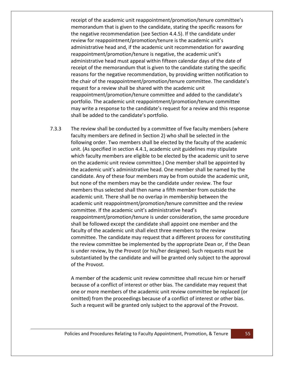receipt of the academic unit reappointment/promotion/tenure committee's memorandum that is given to the candidate, stating the specific reasons for the negative recommendation (see Section 4.4.5). If the candidate under review for reappointment/promotion/tenure is the academic unit's administrative head and, if the academic unit recommendation for awarding reappointment/promotion/tenure is negative, the academic unit's administrative head must appeal within fifteen calendar days of the date of receipt of the memorandum that is given to the candidate stating the specific reasons for the negative recommendation, by providing written notification to the chair of the reappointment/promotion/tenure committee. The candidate's request for a review shall be shared with the academic unit reappointment/promotion/tenure committee and added to the candidate's portfolio. The academic unit reappointment/promotion/tenure committee may write a response to the candidate's request for a review and this response shall be added to the candidate's portfolio.

7.3.3 The review shall be conducted by a committee of five faculty members (where faculty members are defined in Section 2) who shall be selected in the following order. Two members shall be elected by the faculty of the academic unit. (As specified in section 4.4.1, academic unit guidelines may stipulate which faculty members are eligible to be elected by the academic unit to serve on the academic unit review committee.) One member shall be appointed by the academic unit's administrative head. One member shall be named by the candidate. Any of these four members may be from outside the academic unit, but none of the members may be the candidate under review. The four members thus selected shall then name a fifth member from outside the academic unit. There shall be no overlap in membership between the academic unit reappointment/promotion/tenure committee and the review committee. If the academic unit's administrative head's reappointment/promotion/tenure is under consideration, the same procedure shall be followed except the candidate shall appoint one member and the faculty of the academic unit shall elect three members to the review committee. The candidate may request that a different process for constituting the review committee be implemented by the appropriate Dean or, if the Dean is under review, by the Provost (or his/her designee). Such requests must be substantiated by the candidate and will be granted only subject to the approval of the Provost.

> A member of the academic unit review committee shall recuse him or herself because of a conflict of interest or other bias. The candidate may request that one or more members of the academic unit review committee be replaced (or omitted) from the proceedings because of a conflict of interest or other bias. Such a request will be granted only subject to the approval of the Provost.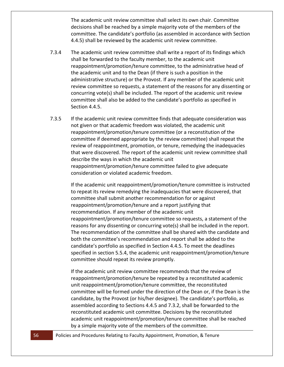The academic unit review committee shall select its own chair. Committee decisions shall be reached by a simple majority vote of the members of the committee. The candidate's portfolio (as assembled in accordance with Section 4.4.5) shall be reviewed by the academic unit review committee.

- 7.3.4 The academic unit review committee shall write a report of its findings which shall be forwarded to the faculty member, to the academic unit reappointment/promotion/tenure committee, to the administrative head of the academic unit and to the Dean (if there is such a position in the administrative structure) or the Provost. If any member of the academic unit review committee so requests, a statement of the reasons for any dissenting or concurring vote(s) shall be included. The report of the academic unit review committee shall also be added to the candidate's portfolio as specified in Section 4.4.5.
- 7.3.5 If the academic unit review committee finds that adequate consideration was not given or that academic freedom was violated, the academic unit reappointment/promotion/tenure committee (or a reconstitution of the committee if deemed appropriate by the review committee) shall repeat the review of reappointment, promotion, or tenure, remedying the inadequacies that were discovered. The report of the academic unit review committee shall describe the ways in which the academic unit reappointment/promotion/tenure committee failed to give adequate consideration or violated academic freedom.

If the academic unit reappointment/promotion/tenure committee is instructed to repeat its review remedying the inadequacies that were discovered, that committee shall submit another recommendation for or against reappointment/promotion/tenure and a report justifying that recommendation. If any member of the academic unit reappointment/promotion/tenure committee so requests, a statement of the reasons for any dissenting or concurring vote(s) shall be included in the report. The recommendation of the committee shall be shared with the candidate and both the committee's recommendation and report shall be added to the candidate's portfolio as specified in Section 4.4.5. To meet the deadlines specified in section 5.5.4, the academic unit reappointment/promotion/tenure committee should repeat its review promptly.

If the academic unit review committee recommends that the review of reappointment/promotion/tenure be repeated by a reconstituted academic unit reappointment/promotion/tenure committee, the reconstituted committee will be formed under the direction of the Dean or, if the Dean is the candidate, by the Provost (or his/her designee). The candidate's portfolio, as assembled according to Sections 4.4.5 and 7.3.2, shall be forwarded to the reconstituted academic unit committee. Decisions by the reconstituted academic unit reappointment/promotion/tenure committee shall be reached by a simple majority vote of the members of the committee.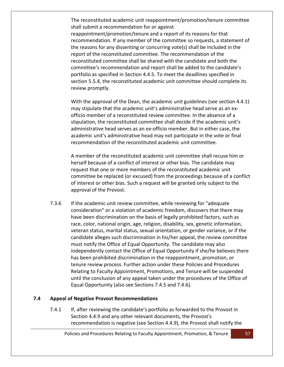The reconstituted academic unit reappointment/promotion/tenure committee shall submit a recommendation for or against reappointment/promotion/tenure and a report of its reasons for that recommendation. If any member of the committee so requests, a statement of the reasons for any dissenting or concurring vote(s) shall be included in the report of the reconstituted committee. The recommendation of the reconstituted committee shall be shared with the candidate and both the committee's recommendation and report shall be added to the candidate's portfolio as specified in Section 4.4.5. To meet the deadlines specified in section 5.5.4, the reconstituted academic unit committee should complete its review promptly.

With the approval of the Dean, the academic unit guidelines (see section 4.4.1) may stipulate that the academic unit's administrative head serve as an exofficio member of a reconstituted review committee. In the absence of a stipulation, the reconstituted committee shall decide if the academic unit's administrative head serves as an ex-officio member. But in either case, the academic unit's administrative head may not participate in the vote or final recommendation of the reconstituted academic unit committee.

A member of the reconstituted academic unit committee shall recuse him or herself because of a conflict of interest or other bias. The candidate may request that one or more members of the reconstituted academic unit committee be replaced (or excused) from the proceedings because of a conflict of interest or other bias. Such a request will be granted only subject to the approval of the Provost.

7.3.6 If the academic unit review committee, while reviewing for "adequate consideration" or a violation of academic freedom, discovers that there may have been discrimination on the basis of legally prohibited factors, such as race, color, national origin, age, religion, disability, sex, genetic information, veteran status, marital status, sexual orientation, or gender variance, or if the candidate alleges such discrimination in his/her appeal, the review committee must notify the Office of Equal Opportunity. The candidate may also independently contact the Office of Equal Opportunity if she/he believes there has been prohibited discrimination in the reappointment, promotion, or tenure review process. Further action under these Policies and Procedures Relating to Faculty Appointment, Promotions, and Tenure will be suspended until the conclusion of any appeal taken under the procedures of the Office of Equal Opportunity (also see Sections 7.4.5 and 7.4.6).

## <span id="page-57-0"></span>**7.4 Appeal of Negative Provost Recommendations**

7.4.1 If, after reviewing the candidate's portfolio as forwarded to the Provost in Section 4.4.9 and any other relevant documents, the Provost's recommendation is negative (see Section 4.4.9), the Provost shall notify the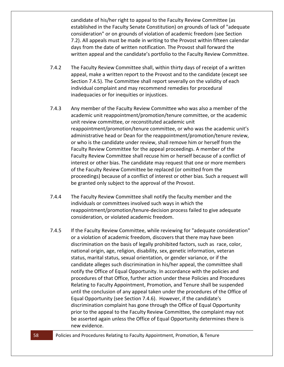candidate of his/her right to appeal to the Faculty Review Committee (as established in the Faculty Senate Constitution) on grounds of lack of "adequate consideration" or on grounds of violation of academic freedom (see Section 7.2). All appeals must be made in writing to the Provost within fifteen calendar days from the date of written notification. The Provost shall forward the written appeal and the candidate's portfolio to the Faculty Review Committee.

- 7.4.2 The Faculty Review Committee shall, within thirty days of receipt of a written appeal, make a written report to the Provost and to the candidate (except see Section 7.4.5). The Committee shall report severally on the validity of each individual complaint and may recommend remedies for procedural inadequacies or for inequities or injustices.
- 7.4.3 Any member of the Faculty Review Committee who was also a member of the academic unit reappointment/promotion/tenure committee, or the academic unit review committee, or reconstituted academic unit reappointment/promotion/tenure committee, or who was the academic unit's administrative head or Dean for the reappointment/promotion/tenure review, or who is the candidate under review, shall remove him or herself from the Faculty Review Committee for the appeal proceedings. A member of the Faculty Review Committee shall recuse him or herself because of a conflict of interest or other bias. The candidate may request that one or more members of the Faculty Review Committee be replaced (or omitted from the proceedings) because of a conflict of interest or other bias. Such a request will be granted only subject to the approval of the Provost.
- 7.4.4 The Faculty Review Committee shall notify the faculty member and the individuals or committees involved such ways in which the reappointment/promotion/tenure-decision process failed to give adequate consideration, or violated academic freedom.
- 7.4.5 If the Faculty Review Committee, while reviewing for "adequate consideration" or a violation of academic freedom, discovers that there may have been discrimination on the basis of legally prohibited factors, such as race, color, national origin, age, religion, disability, sex, genetic information, veteran status, marital status, sexual orientation, or gender variance, or if the candidate alleges such discrimination in his/her appeal, the committee shall notify the Office of Equal Opportunity. In accordance with the policies and procedures of that Office, further action under these Policies and Procedures Relating to Faculty Appointment, Promotion, and Tenure shall be suspended until the conclusion of any appeal taken under the procedures of the Office of Equal Opportunity (see Section 7.4.6). However, if the candidate's discrimination complaint has gone through the Office of Equal Opportunity prior to the appeal to the Faculty Review Committee, the complaint may not be asserted again unless the Office of Equal Opportunity determines there is new evidence.